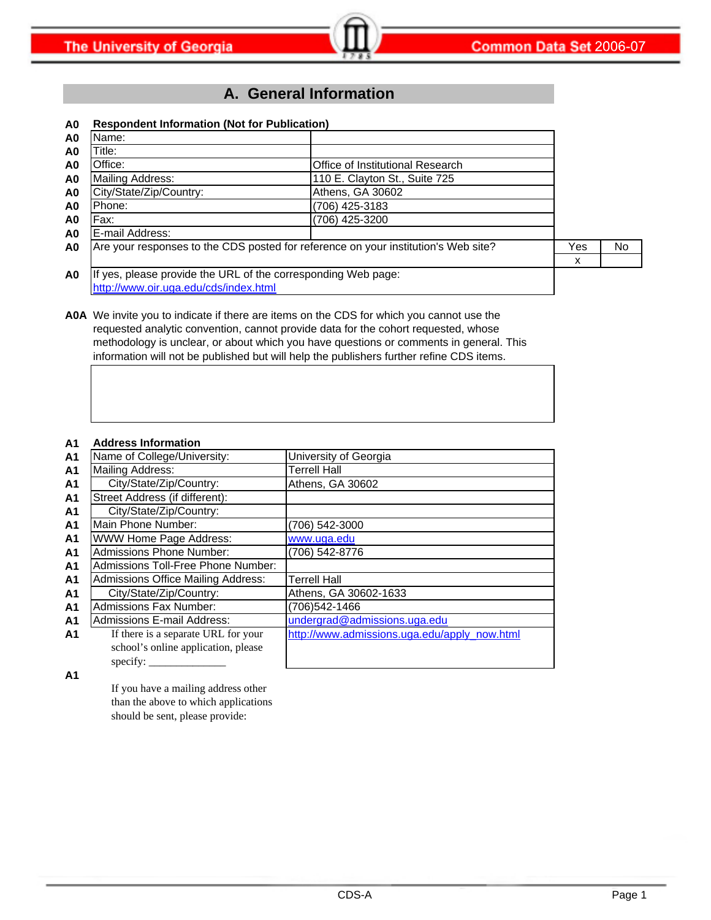### **A. General Information**

#### **A0 Respondent Information (Not for Publication)**

| A0             | Name:                                                         |                                                                                    |     |    |
|----------------|---------------------------------------------------------------|------------------------------------------------------------------------------------|-----|----|
| A0             | Title:                                                        |                                                                                    |     |    |
| A <sub>0</sub> | Office:                                                       | Office of Institutional Research                                                   |     |    |
| A <sub>0</sub> | Mailing Address:                                              | 110 E. Clayton St., Suite 725                                                      |     |    |
| A <sub>0</sub> | City/State/Zip/Country:                                       | Athens, GA 30602                                                                   |     |    |
| A0             | Phone:                                                        | (706) 425-3183                                                                     |     |    |
| A0             | Fax:                                                          | (706) 425-3200                                                                     |     |    |
| A <sub>0</sub> | E-mail Address:                                               |                                                                                    |     |    |
| A <sub>0</sub> |                                                               | Are your responses to the CDS posted for reference on your institution's Web site? | Yes | No |
|                |                                                               |                                                                                    | х   |    |
| A <sub>0</sub> | If yes, please provide the URL of the corresponding Web page: |                                                                                    |     |    |
|                | http://www.oir.uga.edu/cds/index.html                         |                                                                                    |     |    |

**A0A** We invite you to indicate if there are items on the CDS for which you cannot use the requested analytic convention, cannot provide data for the cohort requested, whose methodology is unclear, or about which you have questions or comments in general. This information will not be published but will help the publishers further refine CDS items.

#### **A1 Address Information**

| A <sub>1</sub> | Name of College/University:               | University of Georgia                        |
|----------------|-------------------------------------------|----------------------------------------------|
| A <sub>1</sub> | Mailing Address:                          | <b>Terrell Hall</b>                          |
| A <sub>1</sub> | City/State/Zip/Country:                   | Athens, GA 30602                             |
| A <sub>1</sub> | Street Address (if different):            |                                              |
| A <sub>1</sub> | City/State/Zip/Country:                   |                                              |
| A <sub>1</sub> | Main Phone Number:                        | (706) 542-3000                               |
| A <sub>1</sub> | WWW Home Page Address:                    | www.uga.edu                                  |
| A <sub>1</sub> | <b>Admissions Phone Number:</b>           | (706) 542-8776                               |
| A <sub>1</sub> | Admissions Toll-Free Phone Number:        |                                              |
| A <sub>1</sub> | <b>Admissions Office Mailing Address:</b> | <b>Terrell Hall</b>                          |
| A <sub>1</sub> | City/State/Zip/Country:                   | Athens, GA 30602-1633                        |
| A <sub>1</sub> | <b>Admissions Fax Number:</b>             | (706)542-1466                                |
| A <sub>1</sub> | Admissions E-mail Address:                | undergrad@admissions.uga.edu                 |
| A <sub>1</sub> | If there is a separate URL for your       | http://www.admissions.uga.edu/apply_now.html |
|                | school's online application, please       |                                              |
|                | specify:                                  |                                              |

**A1**

If you have a mailing address other than the above to which applications should be sent, please provide: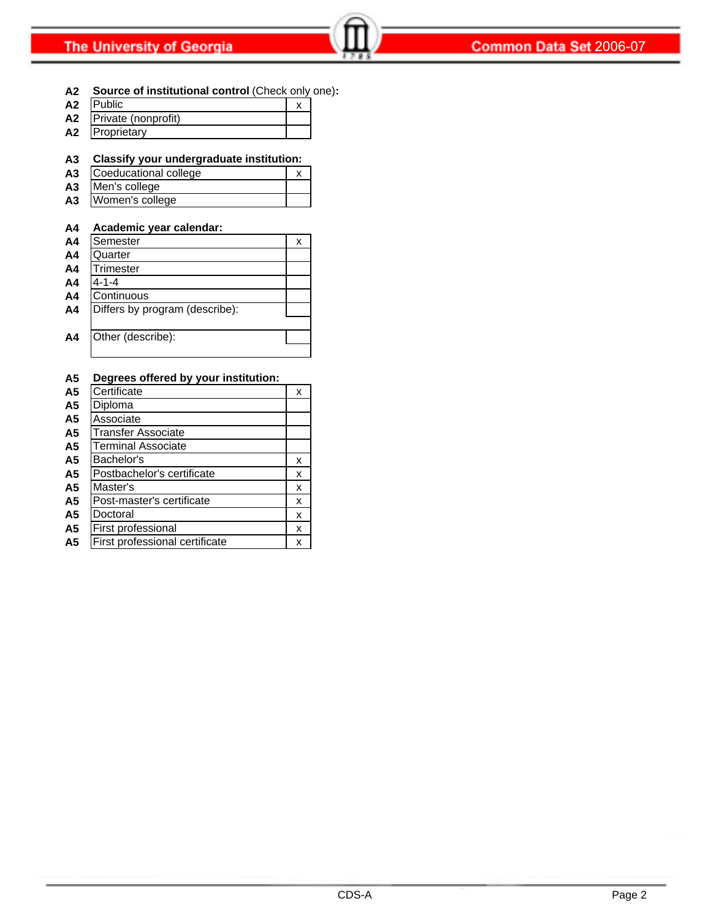**A2 Source of institutional control** (Check only one)**:**

| A <sub>2</sub> | <b>IPublic</b>      |  |
|----------------|---------------------|--|
| А2             | Private (nonprofit) |  |
| А2             | Proprietary         |  |

#### **A3 Classify your undergraduate institution:**

- A3 Coeducational college x **A3** Men's college
- **A3** Women's college

#### **A4 Academic year calendar:**

| A <sub>4</sub> | Semester                       | х |
|----------------|--------------------------------|---|
| A <sub>4</sub> | Quarter                        |   |
| A <sub>4</sub> | Trimester                      |   |
| A <sub>4</sub> | $4 - 1 - 4$                    |   |
| A <sub>4</sub> | Continuous                     |   |
| A <sub>4</sub> | Differs by program (describe): |   |
|                |                                |   |
| A <sub>4</sub> | Other (describe):              |   |
|                |                                |   |

#### **A5 Degrees offered by your institution:**

| A <sub>5</sub> | Certificate                    | X |
|----------------|--------------------------------|---|
| A <sub>5</sub> | Diploma                        |   |
| A <sub>5</sub> | Associate                      |   |
| A <sub>5</sub> | <b>Transfer Associate</b>      |   |
| A <sub>5</sub> | <b>Terminal Associate</b>      |   |
| A <sub>5</sub> | Bachelor's                     | X |
| A <sub>5</sub> | Postbachelor's certificate     | X |
| A <sub>5</sub> | Master's                       | X |
| A5             | Post-master's certificate      | x |
| A <sub>5</sub> | Doctoral                       | x |
| A <sub>5</sub> | First professional             | x |
| A <sub>5</sub> | First professional certificate | x |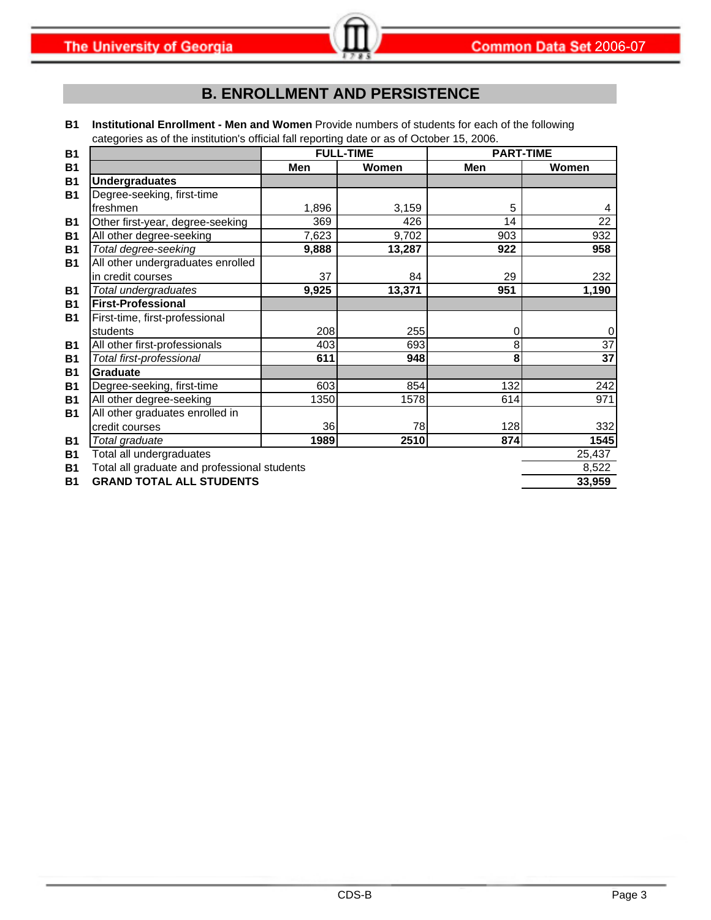# **B. ENROLLMENT AND PERSISTENCE**

**B1 Institutional Enrollment - Men and Women** Provide numbers of students for each of the following categories as of the institution's official fall reporting date or as of October 15, 2006.

| <b>B1</b> |                                              |       | <b>FULL-TIME</b> | <b>PART-TIME</b> |                 |
|-----------|----------------------------------------------|-------|------------------|------------------|-----------------|
| <b>B1</b> |                                              | Men   | Women            | Men              | <b>Women</b>    |
| <b>B1</b> | <b>Undergraduates</b>                        |       |                  |                  |                 |
| <b>B1</b> | Degree-seeking, first-time                   |       |                  |                  |                 |
|           | freshmen                                     | 1,896 | 3,159            | 5                | 4               |
| <b>B1</b> | Other first-year, degree-seeking             | 369   | 426              | 14               | 22              |
| <b>B1</b> | All other degree-seeking                     | 7,623 | 9,702            | 903              | 932             |
| <b>B1</b> | Total degree-seeking                         | 9,888 | 13,287           | 922              | 958             |
| <b>B1</b> | All other undergraduates enrolled            |       |                  |                  |                 |
|           | in credit courses                            | 37    | 84               | 29               | 232             |
| <b>B1</b> | Total undergraduates                         | 9,925 | 13,371           | 951              | 1,190           |
| <b>B1</b> | <b>First-Professional</b>                    |       |                  |                  |                 |
| <b>B1</b> | First-time, first-professional               |       |                  |                  |                 |
|           | students                                     | 208   | 255              | 0                | 0               |
| <b>B1</b> | All other first-professionals                | 403   | 693              | 8                | $\overline{37}$ |
| <b>B1</b> | Total first-professional                     | 611   | 948              | 8                | 37              |
| <b>B1</b> | <b>Graduate</b>                              |       |                  |                  |                 |
| <b>B1</b> | Degree-seeking, first-time                   | 603   | 854              | 132              | 242             |
| <b>B1</b> | All other degree-seeking                     | 1350  | 1578             | 614              | 971             |
| <b>B1</b> | All other graduates enrolled in              |       |                  |                  |                 |
|           | credit courses                               | 36    | 78               | 128              | 332             |
| <b>B1</b> | Total graduate                               | 1989  | 2510             | 874              | 1545            |
| <b>B1</b> | Total all undergraduates                     |       |                  |                  | 25,437          |
| <b>B1</b> | Total all graduate and professional students |       |                  |                  | 8,522           |
| <b>B1</b> | <b>GRAND TOTAL ALL STUDENTS</b>              |       |                  |                  | 33,959          |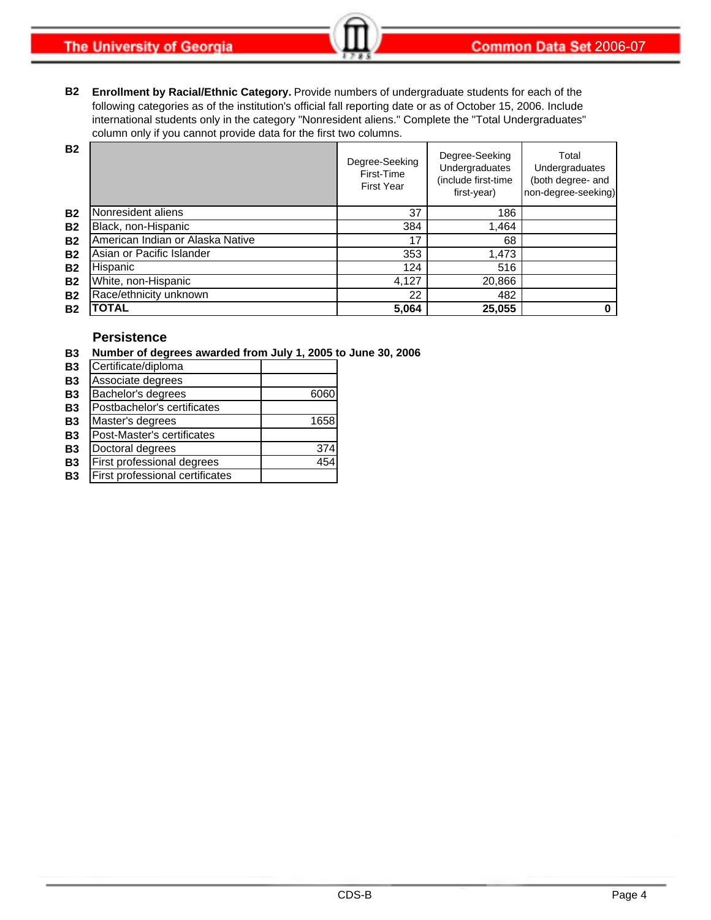**The University of Georgia** 

**B2 Enrollment by Racial/Ethnic Category.** Provide numbers of undergraduate students for each of the following categories as of the institution's official fall reporting date or as of October 15, 2006. Include international students only in the category "Nonresident aliens." Complete the "Total Undergraduates" column only if you cannot provide data for the first two columns.

| <b>B2</b> |                                  | Degree-Seeking<br>First-Time<br><b>First Year</b> | Degree-Seeking<br>Undergraduates<br>(include first-time<br>first-year) | Total<br>Undergraduates<br>(both degree- and<br>non-degree-seeking) |
|-----------|----------------------------------|---------------------------------------------------|------------------------------------------------------------------------|---------------------------------------------------------------------|
| <b>B2</b> | Nonresident aliens               | 37                                                | 186                                                                    |                                                                     |
| <b>B2</b> | Black, non-Hispanic              | 384                                               | 1,464                                                                  |                                                                     |
| <b>B2</b> | American Indian or Alaska Native | 17                                                | 68                                                                     |                                                                     |
| <b>B2</b> | Asian or Pacific Islander        | 353                                               | 1,473                                                                  |                                                                     |
| <b>B2</b> | Hispanic                         | 124                                               | 516                                                                    |                                                                     |
| <b>B2</b> | White, non-Hispanic              | 4,127                                             | 20,866                                                                 |                                                                     |
| <b>B2</b> | Race/ethnicity unknown           | 22                                                | 482                                                                    |                                                                     |
| <b>B2</b> | TOTAL                            | 5,064                                             | 25,055                                                                 | 0                                                                   |

#### **Persistence**

**B3 Number of degrees awarded from July 1, 2005 to June 30, 2006**

| <b>B3</b> | Certificate/diploma             |      |
|-----------|---------------------------------|------|
| <b>B3</b> | Associate degrees               |      |
| <b>B3</b> | Bachelor's degrees              | 6060 |
| <b>B3</b> | Postbachelor's certificates     |      |
| <b>B3</b> | Master's degrees                | 1658 |
| <b>B3</b> | Post-Master's certificates      |      |
| <b>B3</b> | Doctoral degrees                | 374  |
| <b>B3</b> | First professional degrees      | 454  |
| <b>B3</b> | First professional certificates |      |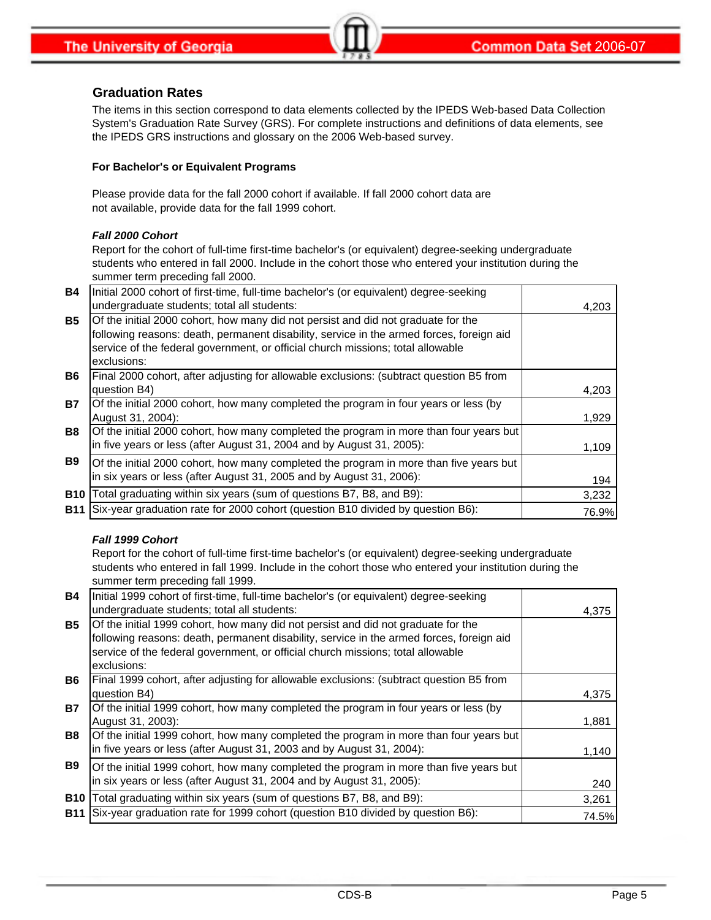#### **Graduation Rates**

The items in this section correspond to data elements collected by the IPEDS Web-based Data Collection System's Graduation Rate Survey (GRS). For complete instructions and definitions of data elements, see the IPEDS GRS instructions and glossary on the 2006 Web-based survey.

#### **For Bachelor's or Equivalent Programs**

Please provide data for the fall 2000 cohort if available. If fall 2000 cohort data are not available, provide data for the fall 1999 cohort.

#### *Fall 2000 Cohort*

Report for the cohort of full-time first-time bachelor's (or equivalent) degree-seeking undergraduate students who entered in fall 2000. Include in the cohort those who entered your institution during the summer term preceding fall 2000.

| <b>B4</b>  | Initial 2000 cohort of first-time, full-time bachelor's (or equivalent) degree-seeking                                                                                                                                                                           |       |
|------------|------------------------------------------------------------------------------------------------------------------------------------------------------------------------------------------------------------------------------------------------------------------|-------|
|            | undergraduate students; total all students:                                                                                                                                                                                                                      | 4,203 |
| <b>B5</b>  | Of the initial 2000 cohort, how many did not persist and did not graduate for the<br>following reasons: death, permanent disability, service in the armed forces, foreign aid<br>service of the federal government, or official church missions; total allowable |       |
|            | exclusions:                                                                                                                                                                                                                                                      |       |
| <b>B6</b>  | Final 2000 cohort, after adjusting for allowable exclusions: (subtract question B5 from<br>question B4)                                                                                                                                                          | 4,203 |
| <b>B7</b>  | Of the initial 2000 cohort, how many completed the program in four years or less (by<br>August 31, 2004):                                                                                                                                                        | 1,929 |
| <b>B8</b>  | Of the initial 2000 cohort, how many completed the program in more than four years but<br>in five years or less (after August 31, 2004 and by August 31, 2005):                                                                                                  | 1,109 |
| <b>B9</b>  | Of the initial 2000 cohort, how many completed the program in more than five years but<br>in six years or less (after August 31, 2005 and by August 31, 2006):                                                                                                   | 194   |
| <b>B10</b> | Total graduating within six years (sum of questions B7, B8, and B9):                                                                                                                                                                                             | 3,232 |
| <b>B11</b> | Six-year graduation rate for 2000 cohort (question B10 divided by question B6):                                                                                                                                                                                  | 76.9% |

#### *Fall 1999 Cohort*

Report for the cohort of full-time first-time bachelor's (or equivalent) degree-seeking undergraduate students who entered in fall 1999. Include in the cohort those who entered your institution during the summer term preceding fall 1999.

| <b>B4</b>  | Initial 1999 cohort of first-time, full-time bachelor's (or equivalent) degree-seeking                                                                                                                                                                                          |       |
|------------|---------------------------------------------------------------------------------------------------------------------------------------------------------------------------------------------------------------------------------------------------------------------------------|-------|
|            | undergraduate students; total all students:                                                                                                                                                                                                                                     | 4,375 |
| <b>B5</b>  | Of the initial 1999 cohort, how many did not persist and did not graduate for the<br>following reasons: death, permanent disability, service in the armed forces, foreign aid<br>service of the federal government, or official church missions; total allowable<br>exclusions: |       |
| <b>B6</b>  | Final 1999 cohort, after adjusting for allowable exclusions: (subtract question B5 from<br>question B4)                                                                                                                                                                         | 4,375 |
| <b>B7</b>  | Of the initial 1999 cohort, how many completed the program in four years or less (by<br>August 31, 2003):                                                                                                                                                                       | 1,881 |
| <b>B8</b>  | Of the initial 1999 cohort, how many completed the program in more than four years but<br>in five years or less (after August 31, 2003 and by August 31, 2004):                                                                                                                 | 1,140 |
| <b>B9</b>  | Of the initial 1999 cohort, how many completed the program in more than five years but<br>in six years or less (after August 31, 2004 and by August 31, 2005):                                                                                                                  | 240   |
| <b>B10</b> | Total graduating within six years (sum of questions B7, B8, and B9):                                                                                                                                                                                                            | 3,261 |
| <b>B11</b> | Six-year graduation rate for 1999 cohort (question B10 divided by question B6):                                                                                                                                                                                                 | 74.5% |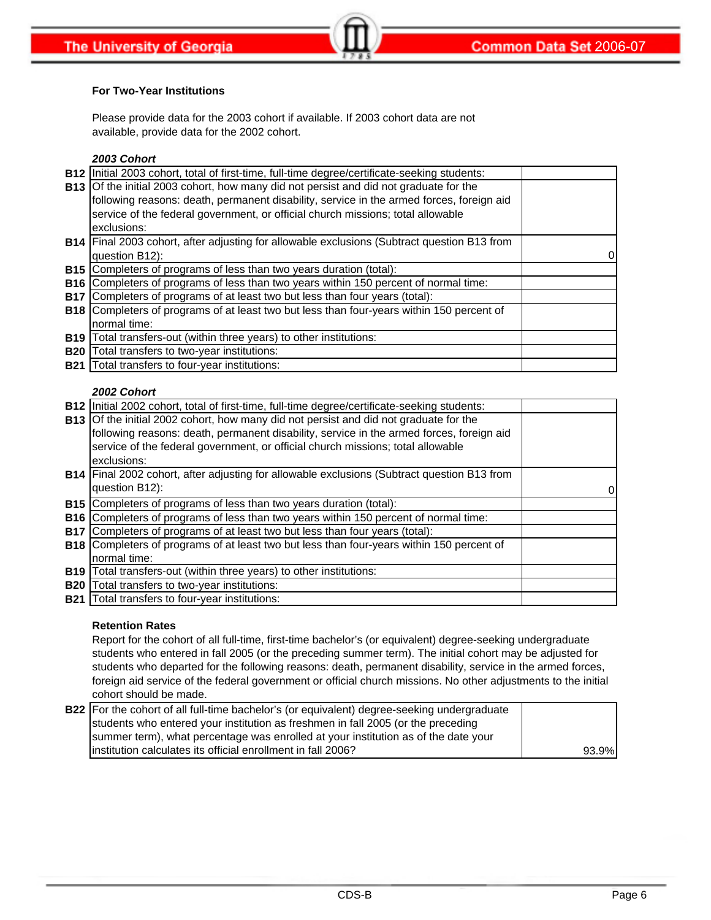#### **For Two-Year Institutions**

Please provide data for the 2003 cohort if available. If 2003 cohort data are not available, provide data for the 2002 cohort.

#### *2003 Cohort*

|            | B12   Initial 2003 cohort, total of first-time, full-time degree/certificate-seeking students:   |  |
|------------|--------------------------------------------------------------------------------------------------|--|
|            | <b>B13</b> Of the initial 2003 cohort, how many did not persist and did not graduate for the     |  |
|            | following reasons: death, permanent disability, service in the armed forces, foreign aid         |  |
|            | service of the federal government, or official church missions; total allowable                  |  |
|            | exclusions:                                                                                      |  |
|            | B14 Final 2003 cohort, after adjusting for allowable exclusions (Subtract question B13 from      |  |
|            | question B12):                                                                                   |  |
|            | <b>B15</b> Completers of programs of less than two years duration (total):                       |  |
|            | <b>B16</b> Completers of programs of less than two years within 150 percent of normal time:      |  |
|            | <b>B17</b> Completers of programs of at least two but less than four years (total):              |  |
|            | <b>B18</b> Completers of programs of at least two but less than four-years within 150 percent of |  |
|            | normal time:                                                                                     |  |
|            | <b>B19</b> Total transfers-out (within three years) to other institutions:                       |  |
| <b>B20</b> | Total transfers to two-year institutions:                                                        |  |
| <b>B21</b> | Total transfers to four-year institutions:                                                       |  |

#### *2002 Cohort*

|            | B12  Initial 2002 cohort, total of first-time, full-time degree/certificate-seeking students:    |  |
|------------|--------------------------------------------------------------------------------------------------|--|
|            | <b>B13</b> Of the initial 2002 cohort, how many did not persist and did not graduate for the     |  |
|            | following reasons: death, permanent disability, service in the armed forces, foreign aid         |  |
|            | service of the federal government, or official church missions; total allowable                  |  |
|            | exclusions:                                                                                      |  |
|            | B14 Final 2002 cohort, after adjusting for allowable exclusions (Subtract question B13 from      |  |
|            | question B12):                                                                                   |  |
|            | <b>B15</b> Completers of programs of less than two years duration (total):                       |  |
|            | <b>B16</b> Completers of programs of less than two years within 150 percent of normal time:      |  |
|            | <b>B17</b> Completers of programs of at least two but less than four years (total):              |  |
|            | <b>B18</b> Completers of programs of at least two but less than four-years within 150 percent of |  |
|            | normal time:                                                                                     |  |
| <b>B19</b> | Total transfers-out (within three years) to other institutions:                                  |  |
| <b>B20</b> | Total transfers to two-year institutions:                                                        |  |
|            | <b>B21</b> Total transfers to four-year institutions:                                            |  |

#### **Retention Rates**

Report for the cohort of all full-time, first-time bachelor's (or equivalent) degree-seeking undergraduate students who entered in fall 2005 (or the preceding summer term). The initial cohort may be adjusted for students who departed for the following reasons: death, permanent disability, service in the armed forces, foreign aid service of the federal government or official church missions. No other adjustments to the initial cohort should be made.

| <b>B22</b> For the cohort of all full-time bachelor's (or equivalent) degree-seeking undergraduate |       |
|----------------------------------------------------------------------------------------------------|-------|
| students who entered your institution as freshmen in fall 2005 (or the preceding                   |       |
| summer term), what percentage was enrolled at your institution as of the date your                 |       |
| linstitution calculates its official enrollment in fall 2006?                                      | 93.9% |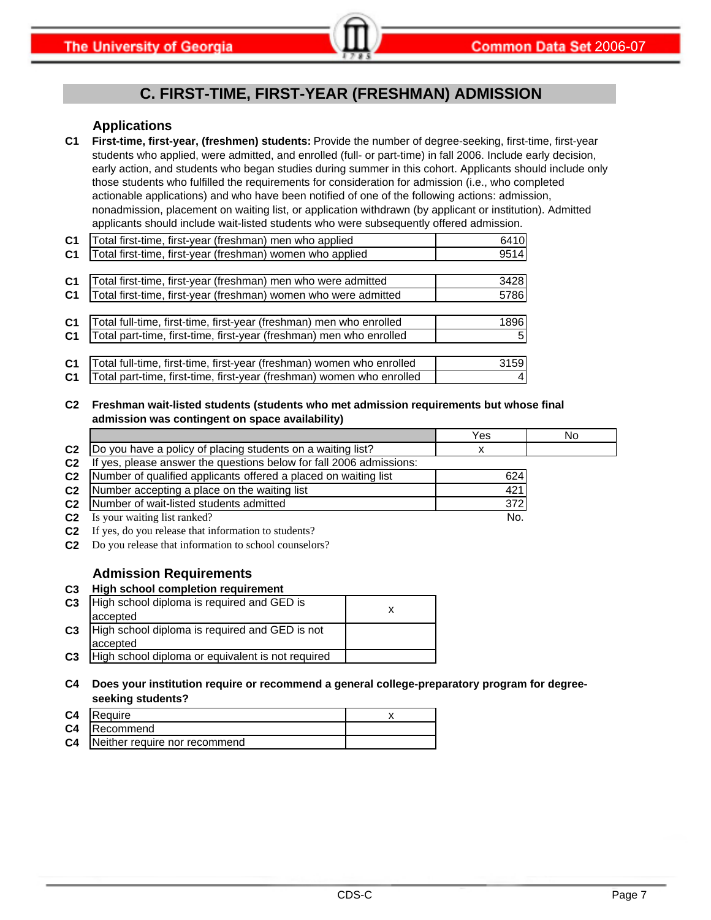# **C. FIRST-TIME, FIRST-YEAR (FRESHMAN) ADMISSION**

#### **Applications**

**C1 First-time, first-year, (freshmen) students:** Provide the number of degree-seeking, first-time, first-year students who applied, were admitted, and enrolled (full- or part-time) in fall 2006. Include early decision, early action, and students who began studies during summer in this cohort. Applicants should include only those students who fulfilled the requirements for consideration for admission (i.e., who completed actionable applications) and who have been notified of one of the following actions: admission, nonadmission, placement on waiting list, or application withdrawn (by applicant or institution). Admitted applicants should include wait-listed students who were subsequently offered admission.

| C <sub>1</sub> | Total first-time, first-year (freshman) men who applied               | 6410 |
|----------------|-----------------------------------------------------------------------|------|
| C <sub>1</sub> | Total first-time, first-year (freshman) women who applied             | 9514 |
|                |                                                                       |      |
| C <sub>1</sub> | Total first-time, first-year (freshman) men who were admitted         | 3428 |
| C <sub>1</sub> | Total first-time, first-year (freshman) women who were admitted       | 5786 |
|                |                                                                       |      |
| C <sub>1</sub> | Total full-time, first-time, first-year (freshman) men who enrolled   | 1896 |
| C <sub>1</sub> | Total part-time, first-time, first-year (freshman) men who enrolled   | 5    |
|                |                                                                       |      |
| C <sub>1</sub> | Total full-time, first-time, first-year (freshman) women who enrolled | 3159 |
| C <sub>1</sub> | Total part-time, first-time, first-year (freshman) women who enrolled |      |

#### **C2 Freshman wait-listed students (students who met admission requirements but whose final admission was contingent on space availability)**

|                |                                                                  | Yes | No |
|----------------|------------------------------------------------------------------|-----|----|
| C <sub>2</sub> | Do you have a policy of placing students on a waiting list?      |     |    |
| C <sub>2</sub> | yes, please answer the questions below for fall 2006 admissions: |     |    |
| C <sub>2</sub> | Number of qualified applicants offered a placed on waiting list  | 624 |    |
| C <sub>2</sub> | Number accepting a place on the waiting list                     | 421 |    |
| C <sub>2</sub> | Number of wait-listed students admitted                          | 372 |    |
| C <sub>2</sub> | Is your waiting list ranked?                                     | No. |    |

**C2** If yes, do you release that information to students?

**C2** Do you release that information to school counselors?

#### **Admission Requirements**

#### **C3 High school completion requirement**

| C <sub>3</sub> | High school diploma is required and GED is        |  |
|----------------|---------------------------------------------------|--|
|                | accepted                                          |  |
| C <sub>3</sub> | High school diploma is required and GED is not    |  |
|                | accepted                                          |  |
| C <sub>3</sub> | High school diploma or equivalent is not required |  |

#### **C4 Does your institution require or recommend a general college-preparatory program for degreeseeking students?**

| C <sub>4</sub> | Require                       |  |
|----------------|-------------------------------|--|
| C <sub>4</sub> | Recommend                     |  |
| C <sub>4</sub> | Neither require nor recommend |  |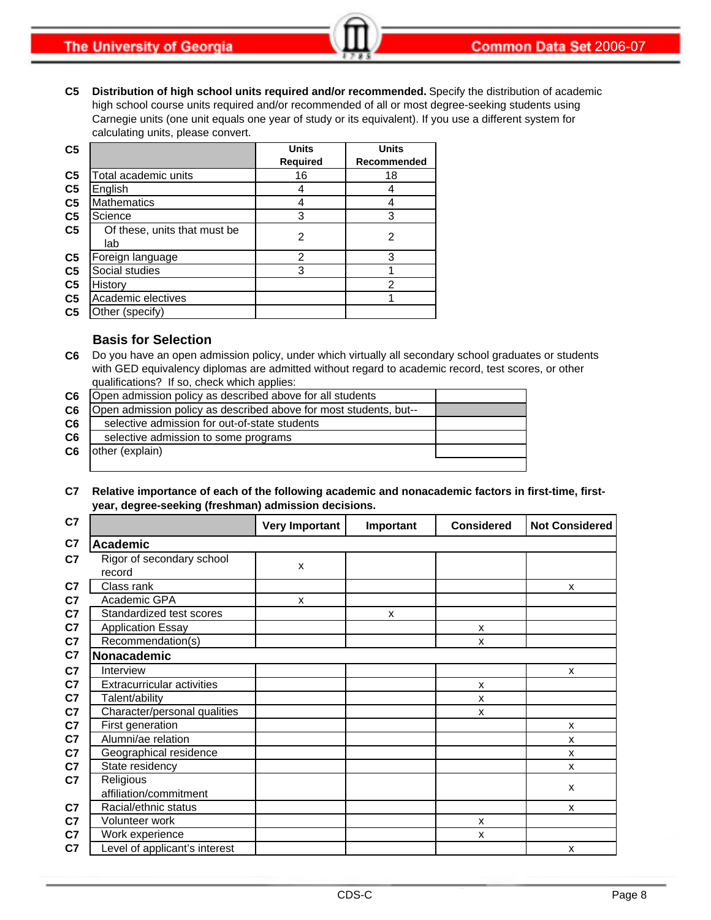**The University of Georgia** 

**C5 Distribution of high school units required and/or recommended.** Specify the distribution of academic high school course units required and/or recommended of all or most degree-seeking students using Carnegie units (one unit equals one year of study or its equivalent). If you use a different system for calculating units, please convert.

| C <sub>5</sub> |                                     | <b>Units</b>    | <b>Units</b> |
|----------------|-------------------------------------|-----------------|--------------|
|                |                                     | <b>Required</b> | Recommended  |
| C <sub>5</sub> | Total academic units                | 16              | 18           |
| C <sub>5</sub> | English                             |                 |              |
| C <sub>5</sub> | <b>Mathematics</b>                  |                 |              |
| C <sub>5</sub> | Science                             | 3               | 3            |
| C <sub>5</sub> | Of these, units that must be<br>lab | $\mathfrak{p}$  | 2            |
| C <sub>5</sub> | Foreign language                    | $\mathfrak{p}$  | 3            |
| C <sub>5</sub> | Social studies                      | 3               |              |
| C <sub>5</sub> | History                             |                 | 2            |
| C <sub>5</sub> | Academic electives                  |                 |              |
| C <sub>5</sub> | Other (specify)                     |                 |              |

#### **Basis for Selection**

**C6** Do you have an open admission policy, under which virtually all secondary school graduates or students with GED equivalency diplomas are admitted without regard to academic record, test scores, or other qualifications? If so, check which applies:

| C <sub>6</sub> | Open admission policy as described above for all students         |  |
|----------------|-------------------------------------------------------------------|--|
| C6             | Open admission policy as described above for most students, but-- |  |
| C <sub>6</sub> | selective admission for out-of-state students                     |  |
| C <sub>6</sub> | selective admission to some programs                              |  |
| C <sub>6</sub> | other (explain)                                                   |  |
|                |                                                                   |  |

#### **C7 Relative importance of each of the following academic and nonacademic factors in first-time, firstyear, degree-seeking (freshman) admission decisions.**

| C7             |                                     | <b>Very Important</b> | Important | <b>Considered</b> | <b>Not Considered</b> |
|----------------|-------------------------------------|-----------------------|-----------|-------------------|-----------------------|
| C7             | <b>Academic</b>                     |                       |           |                   |                       |
| C7             | Rigor of secondary school<br>record | X                     |           |                   |                       |
| C <sub>7</sub> | Class rank                          |                       |           |                   | X                     |
| C <sub>7</sub> | Academic GPA                        | X                     |           |                   |                       |
| C <sub>7</sub> | Standardized test scores            |                       | X         |                   |                       |
| C <sub>7</sub> | <b>Application Essay</b>            |                       |           | X                 |                       |
| C7             | Recommendation(s)                   |                       |           | X                 |                       |
| C7             | Nonacademic                         |                       |           |                   |                       |
| C <sub>7</sub> | Interview                           |                       |           |                   | X                     |
| C <sub>7</sub> | <b>Extracurricular activities</b>   |                       |           | X                 |                       |
| C <sub>7</sub> | Talent/ability                      |                       |           | X                 |                       |
| C <sub>7</sub> | Character/personal qualities        |                       |           | X                 |                       |
| C <sub>7</sub> | First generation                    |                       |           |                   | X                     |
| C <sub>7</sub> | Alumni/ae relation                  |                       |           |                   | X                     |
| C7             | Geographical residence              |                       |           |                   | X                     |
| C <sub>7</sub> | State residency                     |                       |           |                   | X                     |
| C7             | Religious                           |                       |           |                   | X                     |
|                | affiliation/commitment              |                       |           |                   |                       |
| C <sub>7</sub> | Racial/ethnic status                |                       |           |                   | X                     |
| C <sub>7</sub> | Volunteer work                      |                       |           | X                 |                       |
| C7             | Work experience                     |                       |           | X                 |                       |
| C <sub>7</sub> | Level of applicant's interest       |                       |           |                   | X                     |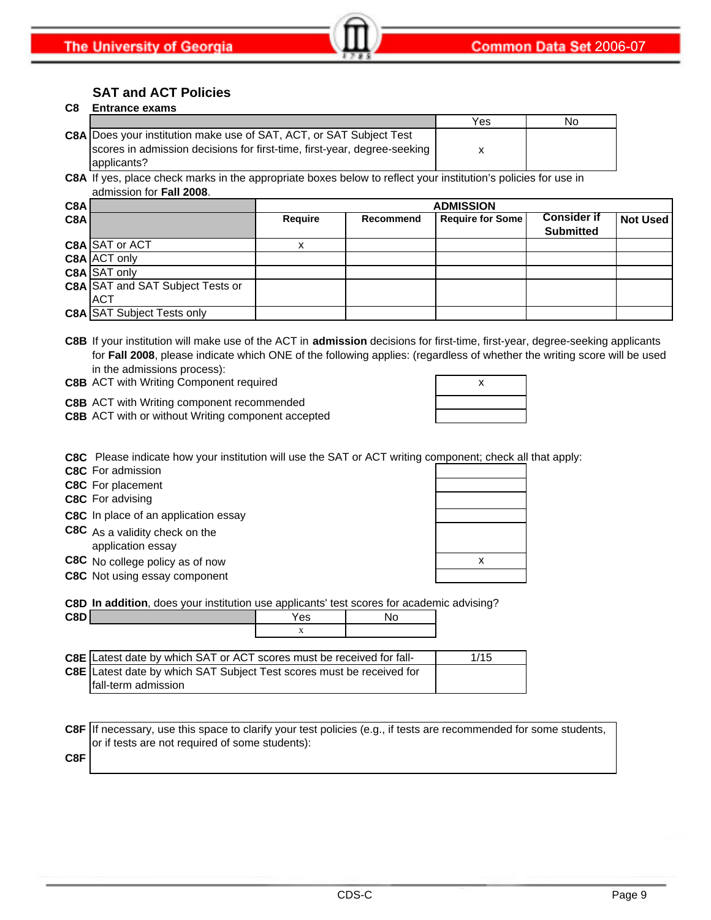### **SAT and ACT Policies**

#### **C8 Entrance exams**

|                                                                            | Yes | No |
|----------------------------------------------------------------------------|-----|----|
| <b>C8A Does your institution make use of SAT, ACT, or SAT Subject Test</b> |     |    |
| scores in admission decisions for first-time, first-year, degree-seeking   |     |    |
| applicants?                                                                |     |    |

**C8A** If yes, place check marks in the appropriate boxes below to reflect your institution's policies for use in admission for **Fall 2008**.

| C8A<br><b>ADMISSION</b> |                                         |                |           |                         |                    |          |
|-------------------------|-----------------------------------------|----------------|-----------|-------------------------|--------------------|----------|
| C8A                     |                                         | <b>Require</b> | Recommend | <b>Require for Some</b> | <b>Consider if</b> | Not Used |
|                         |                                         |                |           |                         | <b>Submitted</b>   |          |
|                         | C8A SAT or ACT                          |                |           |                         |                    |          |
|                         | C8A ACT only                            |                |           |                         |                    |          |
|                         | C8A SAT only                            |                |           |                         |                    |          |
|                         | <b>C8A SAT and SAT Subject Tests or</b> |                |           |                         |                    |          |
|                         | <b>ACT</b>                              |                |           |                         |                    |          |
|                         | <b>C8A SAT Subject Tests only</b>       |                |           |                         |                    |          |

**C8B** If your institution will make use of the ACT in **admission** decisions for first-time, first-year, degree-seeking applicants for **Fall 2008**, please indicate which ONE of the following applies: (regardless of whether the writing score will be used in the admissions process):

**C8B** ACT with Writing Component required **ACT 100 AM** 2 AM

**C8B** ACT with Writing component recommended

**C8B** ACT with or without Writing component accepted

|  | X |  |
|--|---|--|
|  |   |  |
|  |   |  |
|  |   |  |

**C8C** Please indicate how your institution will use the SAT or ACT writing component; check all that apply:

**C8C** For admission

**C8C** For placement

**C8C** For advising

**C8C** In place of an application essay

**C8C** As a validity check on the application essay

**C8C** No college policy as of now

**C8C** Not using essay component

| X |  |
|---|--|
|   |  |

**C8D In addition**, does your institution use applicants' test scores for academic advising?

| <b>C<sub>8</sub>D</b> | ~~<br>55 |  |
|-----------------------|----------|--|
|                       |          |  |
|                       |          |  |

| <b>C8E</b> Latest date by which SAT or ACT scores must be received for fall- | 1/15 |
|------------------------------------------------------------------------------|------|
| C8E Latest date by which SAT Subject Test scores must be received for        |      |
| Ifall-term admission                                                         |      |

**C8F** If necessary, use this space to clarify your test policies (e.g., if tests are recommended for some students, or if tests are not required of some students):

**C8F**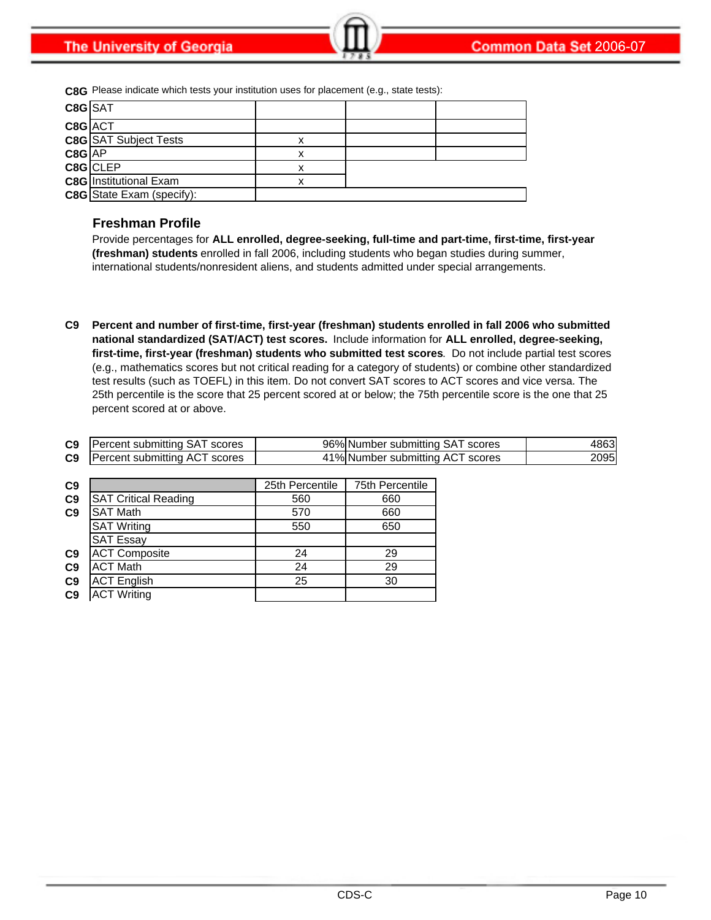**C8G** Please indicate which tests your institution uses for placement (e.g., state tests):

| C8G SAT  |                                  |   |  |
|----------|----------------------------------|---|--|
| C8G ACT  |                                  |   |  |
|          | <b>C8G</b> SAT Subject Tests     | x |  |
| $C8G$ AP |                                  |   |  |
|          | C8G CLEP                         | х |  |
|          | <b>C8G</b> Institutional Exam    |   |  |
|          | <b>C8G</b> State Exam (specify): |   |  |

#### **Freshman Profile**

Provide percentages for **ALL enrolled, degree-seeking, full-time and part-time, first-time, first-year (freshman) students** enrolled in fall 2006, including students who began studies during summer, international students/nonresident aliens, and students admitted under special arrangements.

**C9 Percent and number of first-time, first-year (freshman) students enrolled in fall 2006 who submitted national standardized (SAT/ACT) test scores.** Include information for **ALL enrolled, degree-seeking, first-time, first-year (freshman) students who submitted test scores**. Do not include partial test scores (e.g., mathematics scores but not critical reading for a category of students) or combine other standardized test results (such as TOEFL) in this item. Do not convert SAT scores to ACT scores and vice versa. The 25th percentile is the score that 25 percent scored at or below; the 75th percentile score is the one that 25 percent scored at or above.

| C9 | <b>Percent submitting SAT scores</b> | 96% Number submitting SAT scores | 18631 |
|----|--------------------------------------|----------------------------------|-------|
| C9 | <b>Percent submitting ACT scores</b> | 41% Number submitting ACT scores | 20951 |

| C9             |                             | 25th Percentile | 75th Percentile |
|----------------|-----------------------------|-----------------|-----------------|
| C <sub>9</sub> | <b>SAT Critical Reading</b> | 560             | 660             |
| C <sub>9</sub> | <b>SAT Math</b>             | 570             | 660             |
|                | <b>SAT Writing</b>          | 550             | 650             |
|                | <b>SAT Essay</b>            |                 |                 |
| C <sub>9</sub> | <b>ACT Composite</b>        | 24              | 29              |
| C <sub>9</sub> | <b>ACT Math</b>             | 24              | 29              |
| C <sub>9</sub> | <b>ACT English</b>          | 25              | 30              |
| C <sub>9</sub> | <b>ACT</b> Writing          |                 |                 |
|                |                             |                 |                 |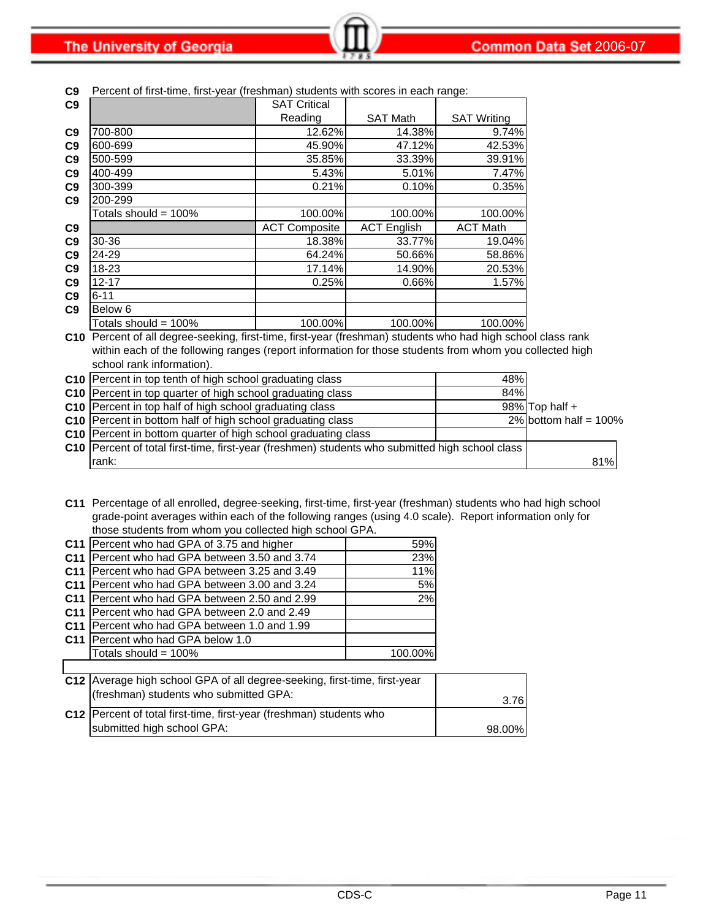**The University of Georgia** 

| CJ.             | Percent of inst-time, inst-year (ilesimian) students with scores in each range.                              |                      |                    |                    |                          |
|-----------------|--------------------------------------------------------------------------------------------------------------|----------------------|--------------------|--------------------|--------------------------|
| C9              |                                                                                                              | <b>SAT Critical</b>  |                    |                    |                          |
|                 |                                                                                                              | Reading              | <b>SAT Math</b>    | <b>SAT Writing</b> |                          |
| C9              | 700-800                                                                                                      | 12.62%               | 14.38%             | 9.74%              |                          |
| C9              | 600-699                                                                                                      | 45.90%               | 47.12%             | 42.53%             |                          |
| C9              | 500-599                                                                                                      | 35.85%               | 33.39%             | 39.91%             |                          |
| C9              | 400-499                                                                                                      | 5.43%                | 5.01%              | 7.47%              |                          |
| C9              | 300-399                                                                                                      | 0.21%                | 0.10%              | 0.35%              |                          |
| C9              | 200-299                                                                                                      |                      |                    |                    |                          |
|                 | Totals should = 100%                                                                                         | 100.00%              | 100.00%            | 100.00%            |                          |
| C9              |                                                                                                              | <b>ACT Composite</b> | <b>ACT English</b> | <b>ACT Math</b>    |                          |
| C9              | 30-36                                                                                                        | 18.38%               | 33.77%             | 19.04%             |                          |
| C9              | 24-29                                                                                                        | 64.24%               | 50.66%             | 58.86%             |                          |
| C9              | 18-23                                                                                                        | 17.14%               | 14.90%             | 20.53%             |                          |
| C9              | $12 - 17$                                                                                                    | 0.25%                | 0.66%              | 1.57%              |                          |
| C9              | $6 - 11$                                                                                                     |                      |                    |                    |                          |
| C <sub>9</sub>  | Below 6                                                                                                      |                      |                    |                    |                          |
|                 | Totals should = $100\%$                                                                                      | 100.00%              | 100.00%            | 100.00%            |                          |
|                 | C10 Percent of all degree-seeking, first-time, first-year (freshman) students who had high school class rank |                      |                    |                    |                          |
|                 | within each of the following ranges (report information for those students from whom you collected high      |                      |                    |                    |                          |
|                 | school rank information).                                                                                    |                      |                    |                    |                          |
| C10             | Percent in top tenth of high school graduating class                                                         |                      |                    | 48%                |                          |
|                 | C10 Percent in top quarter of high school graduating class                                                   |                      |                    | 84%                |                          |
| C <sub>10</sub> | Percent in top half of high school graduating class                                                          |                      |                    |                    | 98% Top half +           |
| C10             | Percent in bottom half of high school graduating class                                                       |                      |                    |                    | 2% bottom half = $100\%$ |
|                 | C10 Percent in bottom quarter of high school graduating class                                                |                      |                    |                    |                          |
| C <sub>10</sub> | Percent of total first-time, first-year (freshmen) students who submitted high school class                  |                      |                    |                    |                          |
|                 | rank:                                                                                                        |                      |                    |                    | 81%                      |

 $\overline{\phantom{a}}$ time, first-year (freshman) students with scores in ea

**C11** Percentage of all enrolled, degree-seeking, first-time, first-year (freshman) students who had high school grade-point averages within each of the following ranges (using 4.0 scale). Report information only for those students from whom you collected high school GPA.

|                 | C11   Percent who had GPA of 3.75 and higher         | 59%     |
|-----------------|------------------------------------------------------|---------|
|                 | C11 Percent who had GPA between 3.50 and 3.74        | 23%     |
|                 | C11 Percent who had GPA between 3.25 and 3.49        | 11%     |
|                 | C11 Percent who had GPA between 3.00 and 3.24        | 5%      |
|                 | C11 Percent who had GPA between 2.50 and 2.99        | 2%      |
|                 | <b>C11</b> IPercent who had GPA between 2.0 and 2.49 |         |
| C <sub>11</sub> | <b>Percent who had GPA between 1.0 and 1.99</b>      |         |
|                 | C <sub>11</sub> IPercent who had GPA below 1.0       |         |
|                 | Totals should = 100%                                 | 100.00% |
|                 |                                                      |         |

| C12 Average high school GPA of all degree-seeking, first-time, first-year |        |
|---------------------------------------------------------------------------|--------|
| (freshman) students who submitted GPA:                                    | 3.76   |
| C12   Percent of total first-time, first-year (freshman) students who     |        |
| submitted high school GPA:                                                | 98.00% |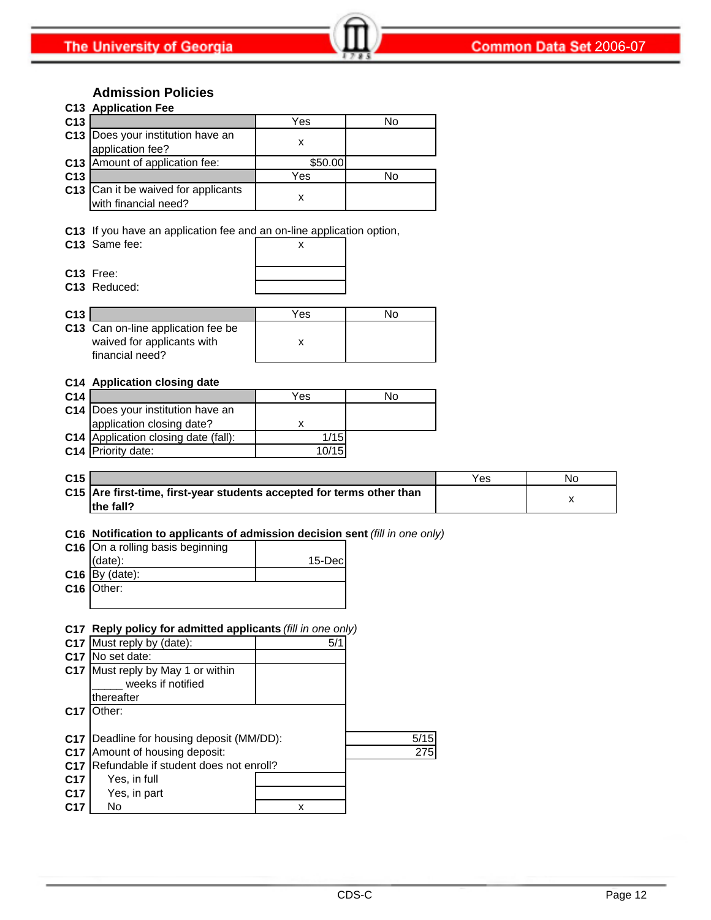### **Admission Policies**

|                 | C13 Application Fee                                         |         |    |
|-----------------|-------------------------------------------------------------|---------|----|
| C <sub>13</sub> |                                                             | Yes     | No |
|                 | C13  Does your institution have an<br>application fee?      |         |    |
|                 | C13 Amount of application fee:                              | \$50.00 |    |
| C <sub>13</sub> |                                                             | Yes     | No |
|                 | C13 Can it be waived for applicants<br>with financial need? |         |    |
|                 |                                                             |         |    |

**C13** If you have an application fee and an on-line application option,

| C13 Same fee: |  |
|---------------|--|
|               |  |

| x |  |
|---|--|
|   |  |
|   |  |

**C13** Free: **C13** Reduced:

| C <sub>13</sub> |                                                                                            | Yes | חצ |
|-----------------|--------------------------------------------------------------------------------------------|-----|----|
|                 | <b>C13</b> Can on-line application fee be<br>waived for applicants with<br>financial need? |     |    |

#### **C14 Application closing date**

| C <sub>14</sub> |                                      | Yes   | No |
|-----------------|--------------------------------------|-------|----|
|                 | C14 Does your institution have an    |       |    |
|                 | application closing date?            |       |    |
|                 | C14 Application closing date (fall): | 1/15  |    |
|                 | <b>C14</b> Priority date:            | 10/15 |    |

| C <sub>15</sub> |                                                                       | Yes | Nc |
|-----------------|-----------------------------------------------------------------------|-----|----|
|                 | C15 Are first-time, first-year students accepted for terms other than |     |    |
|                 | the fall?                                                             |     |    |

#### **C16 Notification to applicants of admission decision sent** *(fill in one only)*

| C16 On a rolling basis beginning |         |
|----------------------------------|---------|
| (data):                          | 15-Decl |
| $C16$ By (date):                 |         |
| C <sub>16</sub> Other:           |         |
|                                  |         |

#### **C17 Reply policy for admitted applicants** *(fill in one only)*

|                 | C17 Must reply by (date):                          | 5/1 |      |
|-----------------|----------------------------------------------------|-----|------|
| C <sub>17</sub> | No set date:                                       |     |      |
|                 | C17 Must reply by May 1 or within                  |     |      |
|                 | weeks if notified                                  |     |      |
|                 | thereafter                                         |     |      |
| C <sub>17</sub> | Other:                                             |     |      |
|                 |                                                    |     |      |
|                 | <b>C17</b>   Deadline for housing deposit (MM/DD): |     | 5/15 |
| C <sub>17</sub> | Amount of housing deposit:                         |     | 275  |
| C <sub>17</sub> | Refundable if student does not enroll?             |     |      |
| C <sub>17</sub> | Yes, in full                                       |     |      |
| C <sub>17</sub> | Yes, in part                                       |     |      |
| C <sub>17</sub> | No                                                 | x   |      |
|                 |                                                    |     |      |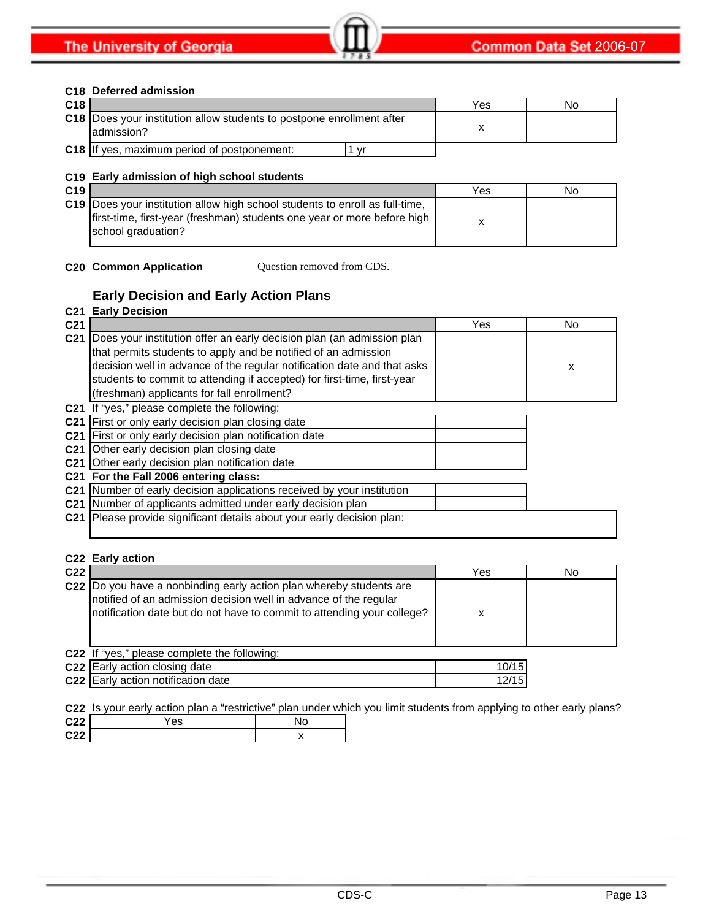#### **C18 Deferred admission**

| C <sub>18</sub> |                                                                                              | Yes | No |
|-----------------|----------------------------------------------------------------------------------------------|-----|----|
|                 | <b>C18</b> IDoes your institution allow students to postpone enrollment after<br>ladmission? |     |    |
|                 | <b>C18</b> If yes, maximum period of postponement:<br>vr                                     |     |    |

#### **C19 Early admission of high school students**

| C <sub>19</sub> |                                                                                                                                                                                      | Yes | No |
|-----------------|--------------------------------------------------------------------------------------------------------------------------------------------------------------------------------------|-----|----|
|                 | <b>C19</b> Does your institution allow high school students to enroll as full-time,<br>first-time, first-year (freshman) students one year or more before high<br>school graduation? |     |    |

**C20 Common Application** Question removed from CDS.

### **Early Decision and Early Action Plans**

#### **C21 Early Decision**

| C <sub>21</sub> |                                                                                                                                                                                                                                                                                                                                             | Yes | <b>No</b> |
|-----------------|---------------------------------------------------------------------------------------------------------------------------------------------------------------------------------------------------------------------------------------------------------------------------------------------------------------------------------------------|-----|-----------|
| C <sub>21</sub> | Does your institution offer an early decision plan (an admission plan<br>that permits students to apply and be notified of an admission<br>decision well in advance of the regular notification date and that asks<br>students to commit to attending if accepted) for first-time, first-year<br>(freshman) applicants for fall enrollment? |     | X         |
|                 | C21 If "yes," please complete the following:                                                                                                                                                                                                                                                                                                |     |           |
| C <sub>21</sub> | First or only early decision plan closing date                                                                                                                                                                                                                                                                                              |     |           |
| C <sub>21</sub> | First or only early decision plan notification date                                                                                                                                                                                                                                                                                         |     |           |
| C <sub>21</sub> | Other early decision plan closing date                                                                                                                                                                                                                                                                                                      |     |           |
|                 | C21 Other early decision plan notification date                                                                                                                                                                                                                                                                                             |     |           |
|                 | C21 For the Fall 2006 entering class:                                                                                                                                                                                                                                                                                                       |     |           |
|                 | C21 Number of early decision applications received by your institution                                                                                                                                                                                                                                                                      |     |           |
|                 | C21 Number of applicants admitted under early decision plan                                                                                                                                                                                                                                                                                 |     |           |
| C <sub>21</sub> | Please provide significant details about your early decision plan:                                                                                                                                                                                                                                                                          |     |           |

#### **C22 Early action**

| C22 |                                                                                                                                                                                                                    | Yes   | No |
|-----|--------------------------------------------------------------------------------------------------------------------------------------------------------------------------------------------------------------------|-------|----|
|     | C22  Do you have a nonbinding early action plan whereby students are<br>notified of an admission decision well in advance of the regular<br>notification date but do not have to commit to attending your college? | х     |    |
|     | C22 If "yes," please complete the following:                                                                                                                                                                       |       |    |
|     | C22 Early action closing date                                                                                                                                                                                      | 10/15 |    |
|     | C22 Early action notification date                                                                                                                                                                                 | 12/15 |    |

### **C22** Is your early action plan a "restrictive" plan under which you limit students from applying to other early plans?

| C <sub>22</sub> | 'es |  |
|-----------------|-----|--|
| C <sub>22</sub> |     |  |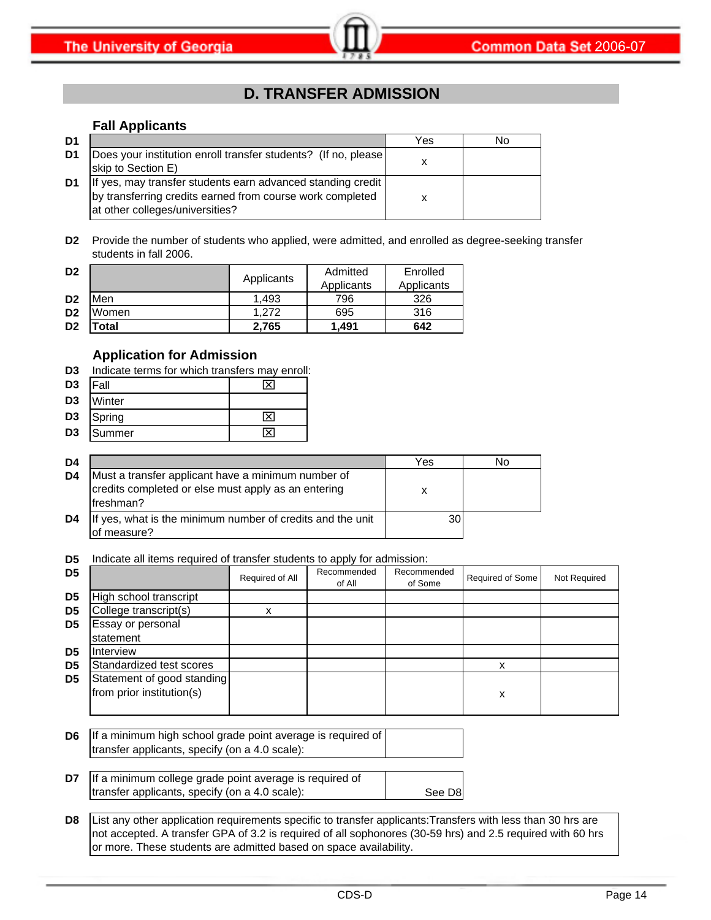# **D. TRANSFER ADMISSION**

#### **Fall Applicants**

| D1 |                                                                                                                                                             | Yes | No |
|----|-------------------------------------------------------------------------------------------------------------------------------------------------------------|-----|----|
| D1 | Does your institution enroll transfer students? (If no, please<br>skip to Section E)                                                                        |     |    |
| D1 | If yes, may transfer students earn advanced standing credit<br>by transferring credits earned from course work completed<br>at other colleges/universities? |     |    |

**D2** Provide the number of students who applied, were admitted, and enrolled as degree-seeking transfer students in fall 2006.

| D <sub>2</sub> |             | Applicants | Admitted   | Enrolled   |  |
|----------------|-------------|------------|------------|------------|--|
|                |             |            | Applicants | Applicants |  |
| D <sub>2</sub> | Men         | 1.493      | 796        | 326        |  |
| D <sub>2</sub> | Women       | 1.272      | 695        | 316        |  |
| D <sub>2</sub> | <b>otal</b> | 2.765      | 1.491      | 642        |  |

#### **Application for Admission**

| D3 | Indicate terms for which transfers may enroll: |  |  |  |
|----|------------------------------------------------|--|--|--|
|    |                                                |  |  |  |

| D <sub>3</sub> | <b>IFall</b> |                         |
|----------------|--------------|-------------------------|
| D <sub>3</sub> | Winter       |                         |
| D <sub>3</sub> | Spring       | $\overline{\mathsf{x}}$ |
| D <sub>3</sub> | Summer       |                         |

| D <sub>4</sub> |                                                                                                                        | Yes | N٥ |
|----------------|------------------------------------------------------------------------------------------------------------------------|-----|----|
| D4             | Must a transfer applicant have a minimum number of<br>credits completed or else must apply as an entering<br>freshman? | х   |    |
| D4             | If yes, what is the minimum number of credits and the unit<br>of measure?                                              |     |    |

**D5** Indicate all items required of transfer students to apply for admission:

| D <sub>5</sub> |                                                         | Required of All | Recommended<br>of All | Recommended<br>of Some | Required of Some | Not Required |
|----------------|---------------------------------------------------------|-----------------|-----------------------|------------------------|------------------|--------------|
| D <sub>5</sub> | High school transcript                                  |                 |                       |                        |                  |              |
| D <sub>5</sub> | College transcript(s)                                   | x               |                       |                        |                  |              |
| D <sub>5</sub> | Essay or personal<br>statement                          |                 |                       |                        |                  |              |
| D <sub>5</sub> | Interview                                               |                 |                       |                        |                  |              |
| D <sub>5</sub> | Standardized test scores                                |                 |                       |                        |                  |              |
| D <sub>5</sub> | Statement of good standing<br>from prior institution(s) |                 |                       |                        | х                |              |

- **D6** If a minimum high school grade point average is required of transfer applicants, specify (on a 4.0 scale):
- **D7** See D8 If a minimum college grade point average is required of transfer applicants, specify (on a 4.0 scale):
- **D8** List any other application requirements specific to transfer applicants:Transfers with less than 30 hrs are not accepted. A transfer GPA of 3.2 is required of all sophonores (30-59 hrs) and 2.5 required with 60 hrs or more. These students are admitted based on space availability.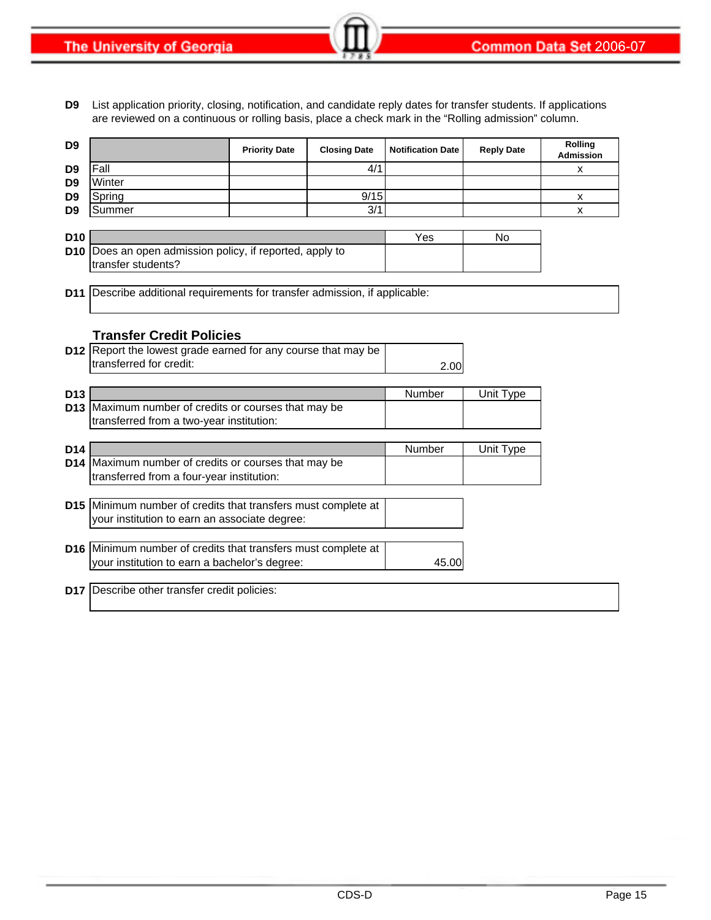**D9** List application priority, closing, notification, and candidate reply dates for transfer students. If applications are reviewed on a continuous or rolling basis, place a check mark in the "Rolling admission" column.

| D <sub>9</sub>  |                                                                            | <b>Priority Date</b> | <b>Closing Date</b> | <b>Notification Date</b> | <b>Reply Date</b> | Rolling<br><b>Admission</b> |
|-----------------|----------------------------------------------------------------------------|----------------------|---------------------|--------------------------|-------------------|-----------------------------|
| D <sub>9</sub>  | Fall                                                                       |                      | 4/1                 |                          |                   | x                           |
| D <sub>9</sub>  | Winter                                                                     |                      |                     |                          |                   |                             |
| D <sub>9</sub>  | Spring                                                                     |                      | 9/15                |                          |                   | X                           |
| D <sub>9</sub>  | Summer                                                                     |                      | 3/1                 |                          |                   | x                           |
|                 |                                                                            |                      |                     |                          |                   |                             |
| D <sub>10</sub> |                                                                            |                      |                     | Yes                      | No                |                             |
| D <sub>10</sub> | Does an open admission policy, if reported, apply to<br>transfer students? |                      |                     |                          |                   |                             |
|                 |                                                                            |                      |                     |                          |                   |                             |
| D <sub>11</sub> | Describe additional requirements for transfer admission, if applicable:    |                      |                     |                          |                   |                             |
|                 |                                                                            |                      |                     |                          |                   |                             |
|                 |                                                                            |                      |                     |                          |                   |                             |
|                 | <b>Transfer Credit Policies</b>                                            |                      |                     |                          |                   |                             |
|                 | D12 Report the lowest grade earned for any course that may be              |                      |                     |                          |                   |                             |
|                 | transferred for credit:                                                    |                      |                     | 2.00                     |                   |                             |
|                 |                                                                            |                      |                     |                          |                   |                             |
| D <sub>13</sub> |                                                                            |                      |                     | Number                   | Unit Type         |                             |
| D <sub>13</sub> | Maximum number of credits or courses that may be                           |                      |                     |                          |                   |                             |
|                 | transferred from a two-year institution:                                   |                      |                     |                          |                   |                             |
| D <sub>14</sub> |                                                                            |                      |                     | Number                   | Unit Type         |                             |
| D <sub>14</sub> | Maximum number of credits or courses that may be                           |                      |                     |                          |                   |                             |
|                 | transferred from a four-year institution:                                  |                      |                     |                          |                   |                             |
|                 |                                                                            |                      |                     |                          |                   |                             |
|                 | D15 Minimum number of credits that transfers must complete at              |                      |                     |                          |                   |                             |
|                 | your institution to earn an associate degree:                              |                      |                     |                          |                   |                             |
|                 |                                                                            |                      |                     |                          |                   |                             |
|                 | D16 Minimum number of credits that transfers must complete at              |                      |                     |                          |                   |                             |
|                 | your institution to earn a bachelor's degree:                              |                      |                     | 45.00                    |                   |                             |
|                 |                                                                            |                      |                     |                          |                   |                             |
|                 | D17 Describe other transfer credit policies:                               |                      |                     |                          |                   |                             |
|                 |                                                                            |                      |                     |                          |                   |                             |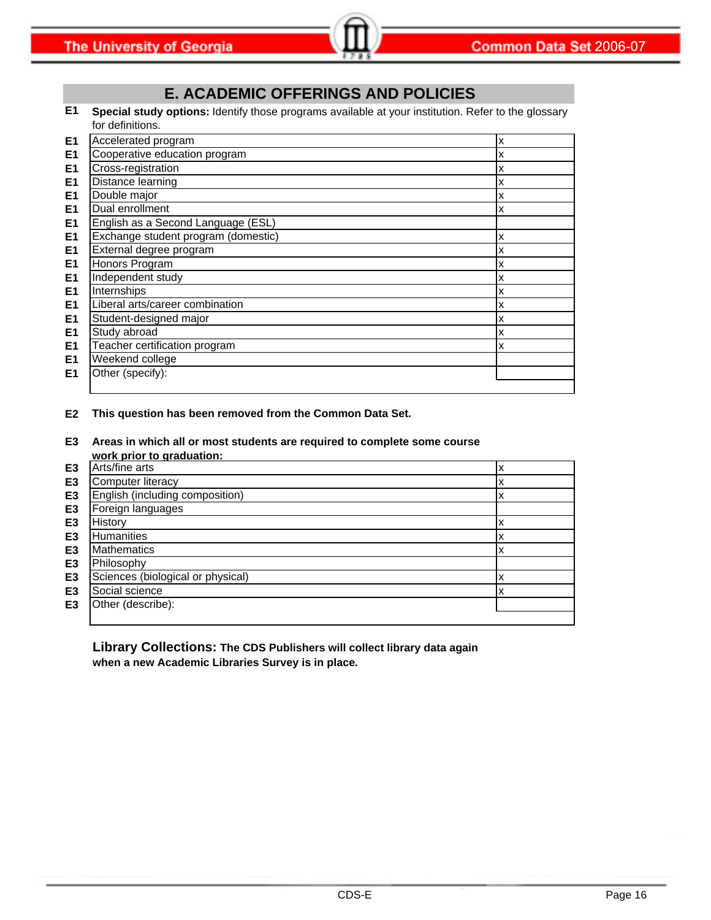### **E. ACADEMIC OFFERINGS AND POLICIES**

**E1 Special study options:** Identify those programs available at your institution. Refer to the glossary for definitions.

| E <sub>1</sub> | Accelerated program                 | x |
|----------------|-------------------------------------|---|
| E <sub>1</sub> | Cooperative education program       | x |
| E <sub>1</sub> | Cross-registration                  | x |
| E <sub>1</sub> | Distance learning                   | x |
| E <sub>1</sub> | Double major                        | x |
| E <sub>1</sub> | Dual enrollment                     | x |
| E <sub>1</sub> | English as a Second Language (ESL)  |   |
| E <sub>1</sub> | Exchange student program (domestic) | x |
| E <sub>1</sub> | External degree program             | x |
| E <sub>1</sub> | Honors Program                      | x |
| E <sub>1</sub> | Independent study                   | x |
| E <sub>1</sub> | Internships                         | x |
| E <sub>1</sub> | Liberal arts/career combination     | x |
| E <sub>1</sub> | Student-designed major              | x |
| E <sub>1</sub> | Study abroad                        | х |
| E1             | Teacher certification program       | х |
| E <sub>1</sub> | Weekend college                     |   |
| E1             | Other (specify):                    |   |
|                |                                     |   |

**E2 This question has been removed from the Common Data Set.**

**E3 Areas in which all or most students are required to complete some course work prior to graduation:**

|                | work prior to graduation.         |   |
|----------------|-----------------------------------|---|
| E <sub>3</sub> | Arts/fine arts                    | л |
| E <sub>3</sub> | Computer literacy                 | л |
| E <sub>3</sub> | English (including composition)   | х |
| E <sub>3</sub> | Foreign languages                 |   |
| E <sub>3</sub> | History                           | л |
| E <sub>3</sub> | <b>Humanities</b>                 | х |
| E <sub>3</sub> | <b>Mathematics</b>                | х |
| E <sub>3</sub> | Philosophy                        |   |
| E <sub>3</sub> | Sciences (biological or physical) | ᄉ |
| E <sub>3</sub> | Social science                    | х |
| E <sub>3</sub> | Other (describe):                 |   |
|                |                                   |   |

**Library Collections: The CDS Publishers will collect library data again when a new Academic Libraries Survey is in place.**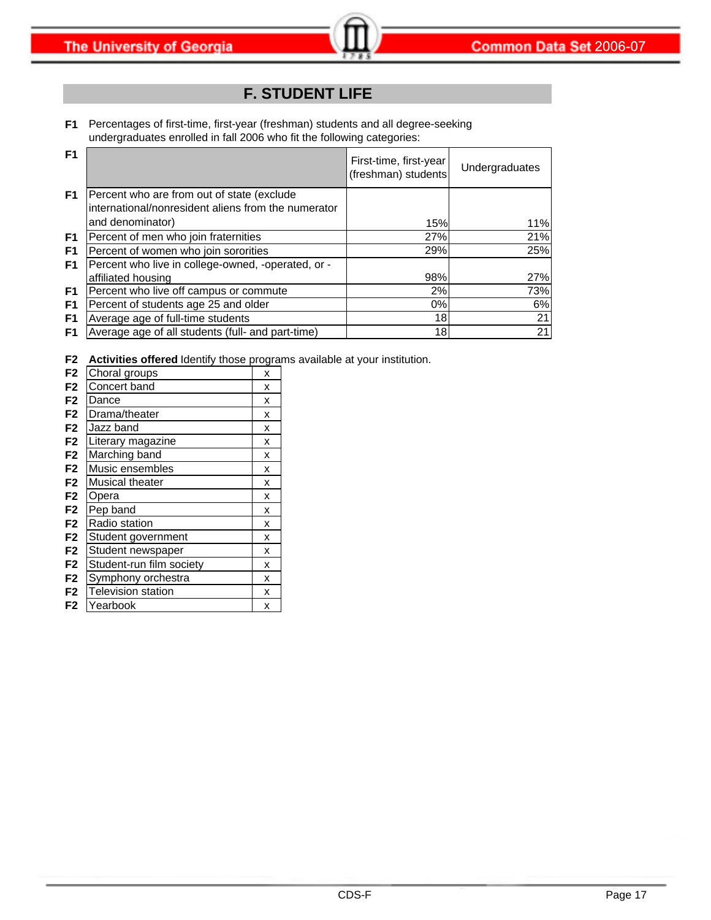# **F. STUDENT LIFE**

**F1** Percentages of first-time, first-year (freshman) students and all degree-seeking undergraduates enrolled in fall 2006 who fit the following categories:

| F <sub>1</sub> |                                                                                                   | First-time, first-year<br>(freshman) students | Undergraduates |
|----------------|---------------------------------------------------------------------------------------------------|-----------------------------------------------|----------------|
| F <sub>1</sub> | Percent who are from out of state (exclude<br>international/nonresident aliens from the numerator |                                               |                |
|                | and denominator)                                                                                  | 15%                                           | 11%            |
| F <sub>1</sub> | Percent of men who join fraternities                                                              | 27%                                           | 21%            |
| F <sub>1</sub> | Percent of women who join sororities                                                              | 29%                                           | 25%            |
| F <sub>1</sub> | Percent who live in college-owned, -operated, or -                                                |                                               |                |
|                | affiliated housing                                                                                | 98%                                           | 27%            |
| F1             | Percent who live off campus or commute                                                            | 2%                                            | 73%            |
| F <sub>1</sub> | Percent of students age 25 and older                                                              | 0%                                            | 6%             |
| F <sub>1</sub> | Average age of full-time students                                                                 | 18 <sup>l</sup>                               | 21             |
| F1             | Average age of all students (full- and part-time)                                                 | 18                                            | 21             |

**F2 Activities offered** Identify those programs available at your institution.

| F <sub>2</sub> | Choral groups            | x |
|----------------|--------------------------|---|
| F <sub>2</sub> | Concert band             | x |
| F <sub>2</sub> | Dance                    | x |
| F <sub>2</sub> | Drama/theater            | x |
| F <sub>2</sub> | Jazz band                | x |
| F <sub>2</sub> | Literary magazine        | x |
| F <sub>2</sub> | Marching band            | x |
| F <sub>2</sub> | Music ensembles          | x |
| F <sub>2</sub> | Musical theater          | x |
| F <sub>2</sub> | Opera                    | x |
| F <sub>2</sub> | Pep band                 | x |
| F <sub>2</sub> | Radio station            | x |
| F <sub>2</sub> | Student government       | x |
| F <sub>2</sub> | Student newspaper        | x |
| F <sub>2</sub> | Student-run film society | x |
| F <sub>2</sub> | Symphony orchestra       | x |
| F <sub>2</sub> | Television station       | x |
| F <sub>2</sub> | Yearbook                 | x |
|                |                          |   |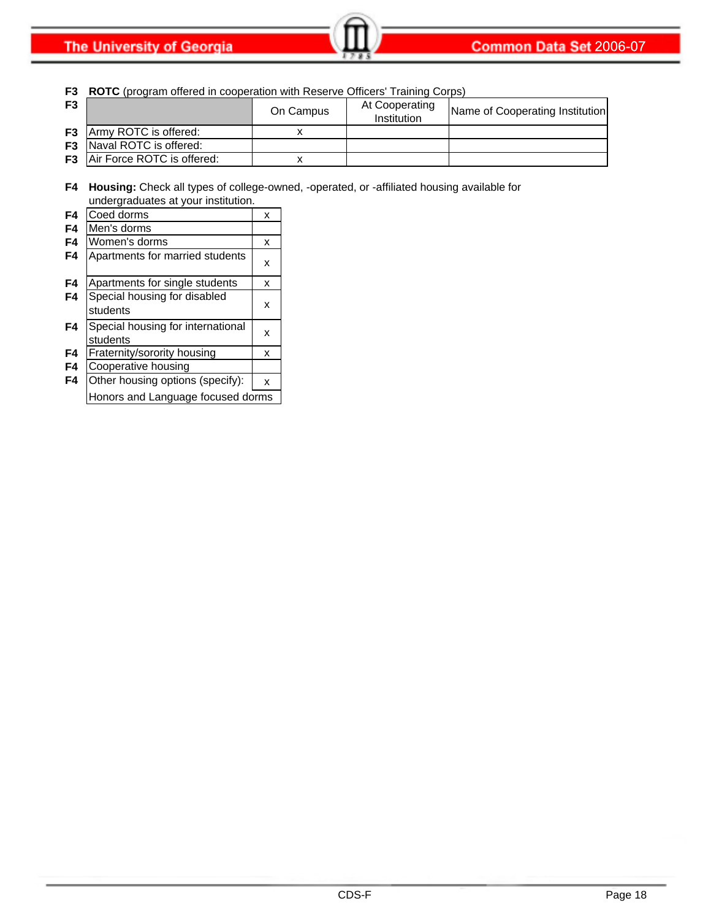**The University of Georgia** 

**F3 ROTC** (program offered in cooperation with Reserve Officers' Training Corps)

| F <sub>3</sub> |                                      | On Campus | At Cooperating<br>Institution | Name of Cooperating Institution |
|----------------|--------------------------------------|-----------|-------------------------------|---------------------------------|
|                | <b>F3</b> Army ROTC is offered:      |           |                               |                                 |
|                | <b>F3</b> Naval ROTC is offered:     |           |                               |                                 |
|                | <b>F3</b> Air Force ROTC is offered: |           |                               |                                 |

**F4 Housing:** Check all types of college-owned, -operated, or -affiliated housing available for undergraduates at your institution.

| F4 | Coed dorms                                    | x |
|----|-----------------------------------------------|---|
| F4 | Men's dorms                                   |   |
| F4 | Women's dorms                                 | х |
| F4 | Apartments for married students               | x |
| F4 | Apartments for single students                | x |
| F4 | Special housing for disabled<br>students      | x |
| F4 | Special housing for international<br>students | x |
| F4 | Fraternity/sorority housing                   | х |
| F4 | Cooperative housing                           |   |
| F4 | Other housing options (specify):              | x |
|    | Honors and Language focused dorms             |   |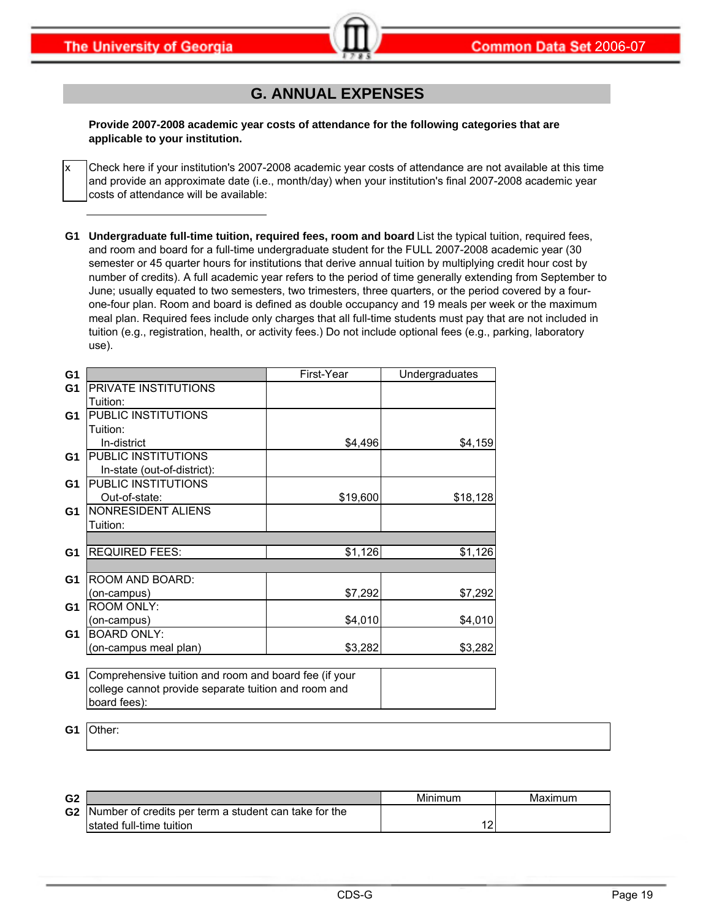x

# **G. ANNUAL EXPENSES**

**Provide 2007-2008 academic year costs of attendance for the following categories that are applicable to your institution.**

Check here if your institution's 2007-2008 academic year costs of attendance are not available at this time and provide an approximate date (i.e., month/day) when your institution's final 2007-2008 academic year costs of attendance will be available:

**G1 Undergraduate full-time tuition, required fees, room and board** List the typical tuition, required fees, and room and board for a full-time undergraduate student for the FULL 2007-2008 academic year (30 semester or 45 quarter hours for institutions that derive annual tuition by multiplying credit hour cost by number of credits). A full academic year refers to the period of time generally extending from September to June; usually equated to two semesters, two trimesters, three quarters, or the period covered by a fourone-four plan. Room and board is defined as double occupancy and 19 meals per week or the maximum meal plan. Required fees include only charges that all full-time students must pay that are not included in tuition (e.g., registration, health, or activity fees.) Do not include optional fees (e.g., parking, laboratory use).

| G1             |                                                       | First-Year | Undergraduates |
|----------------|-------------------------------------------------------|------------|----------------|
| G <sub>1</sub> | PRIVATE INSTITUTIONS                                  |            |                |
|                | Tuition:                                              |            |                |
| G1             | PUBLIC INSTITUTIONS                                   |            |                |
|                | Tuition:                                              |            |                |
|                | In-district                                           | \$4,496    | \$4,159        |
| G1             | <b>PUBLIC INSTITUTIONS</b>                            |            |                |
|                | In-state (out-of-district):                           |            |                |
| G1             | PUBLIC INSTITUTIONS                                   |            |                |
|                | Out-of-state:                                         | \$19,600   | \$18,128       |
| G1             | NONRESIDENT ALIENS                                    |            |                |
|                | Tuition:                                              |            |                |
|                |                                                       |            |                |
| G <sub>1</sub> | <b>REQUIRED FEES:</b>                                 | \$1,126    | \$1,126        |
|                |                                                       |            |                |
| G1             | ROOM AND BOARD:                                       |            |                |
|                | (on-campus)                                           | \$7,292    | \$7,292        |
| G1             | <b>ROOM ONLY:</b>                                     |            |                |
|                | (on-campus)                                           | \$4,010    | \$4,010        |
| G1             | <b>BOARD ONLY:</b>                                    |            |                |
|                | (on-campus meal plan)                                 | \$3,282    | \$3,282        |
|                |                                                       |            |                |
| G <sub>1</sub> | Comprehensive tuition and room and board fee (if your |            |                |
|                | college cannot provide separate tuition and room and  |            |                |
|                | board fees):                                          |            |                |

**G1** Other:

| G <sub>2</sub> |                                                       | Minimum | Maximum |
|----------------|-------------------------------------------------------|---------|---------|
| G2             | Number of credits per term a student can take for the |         |         |
|                | Istated full-time tuition                             |         |         |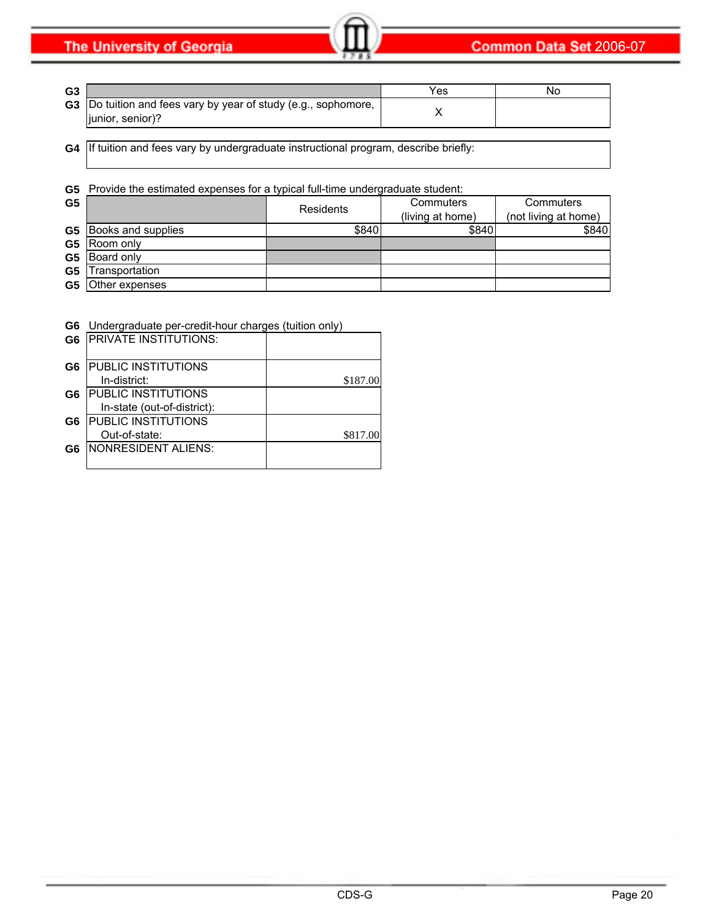**The University of Georgia** 

| G <sub>3</sub> |                                                                                            | 'es | Nο |
|----------------|--------------------------------------------------------------------------------------------|-----|----|
|                | <b>G3</b> Do tuition and fees vary by year of study (e.g., sophomore,<br>liunior, senior)? |     |    |

**G4** If tuition and fees vary by undergraduate instructional program, describe briefly:

#### **G5** Provide the estimated expenses for a typical full-time undergraduate student:

| G <sub>5</sub> |                              | <b>Residents</b> |                  | Commuters            | Commuters |
|----------------|------------------------------|------------------|------------------|----------------------|-----------|
|                |                              |                  | (living at home) | (not living at home) |           |
|                | <b>G5</b> Books and supplies | \$840            | \$840            | \$840                |           |
| G5             | Room only                    |                  |                  |                      |           |
| G <sub>5</sub> | Board only                   |                  |                  |                      |           |
| G <sub>5</sub> | Transportation               |                  |                  |                      |           |
| G5             | Other expenses               |                  |                  |                      |           |

#### **G6** Undergraduate per-credit-hour charges (tuition only)

| G <sub>6</sub> | <b>PRIVATE INSTITUTIONS:</b> |          |
|----------------|------------------------------|----------|
| G <sub>6</sub> | <b>PUBLIC INSTITUTIONS</b>   |          |
|                | In-district:                 | \$187.00 |
| G6             | <b>PUBLIC INSTITUTIONS</b>   |          |
|                | In-state (out-of-district):  |          |
| G6             | <b>PUBLIC INSTITUTIONS</b>   |          |
|                | Out-of-state:                | \$817.00 |
| G6             | NONRESIDENT ALIENS:          |          |
|                |                              |          |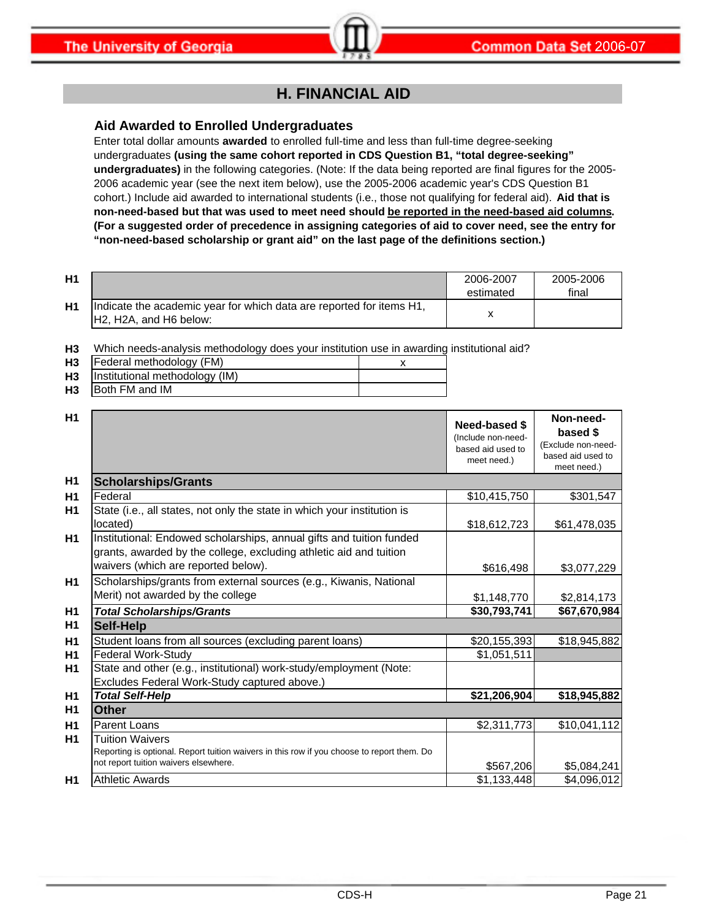### **H. FINANCIAL AID**

#### **Aid Awarded to Enrolled Undergraduates**

Enter total dollar amounts **awarded** to enrolled full-time and less than full-time degree-seeking undergraduates **(using the same cohort reported in CDS Question B1, "total degree-seeking" undergraduates)** in the following categories. (Note: If the data being reported are final figures for the 2005- 2006 academic year (see the next item below), use the 2005-2006 academic year's CDS Question B1 cohort.) Include aid awarded to international students (i.e., those not qualifying for federal aid). **Aid that is non-need-based but that was used to meet need should be reported in the need-based aid columns. (For a suggested order of precedence in assigning categories of aid to cover need, see the entry for "non-need-based scholarship or grant aid" on the last page of the definitions section.)**

| H1 |                                                                                                                                      | 2006-2007 | 2005-2006 |
|----|--------------------------------------------------------------------------------------------------------------------------------------|-----------|-----------|
|    |                                                                                                                                      | estimated | final     |
| H1 | Indicate the academic year for which data are reported for items H1,<br>H <sub>2</sub> , H <sub>2</sub> A, and H <sub>6</sub> below: |           |           |

**H3** Which needs-analysis methodology does your institution use in awarding institutional aid?

| H <sub>3</sub> | Federal methodology (FM)       |  |
|----------------|--------------------------------|--|
| H <sub>3</sub> | Institutional methodology (IM) |  |
| H <sub>3</sub> | <b>Both FM and IM</b>          |  |

| H1 |                                                                                                                                                                                   | Need-based \$<br>(Include non-need-<br>based aid used to<br>meet need.) | Non-need-<br>based \$<br>(Exclude non-need-<br>based aid used to<br>meet need.) |
|----|-----------------------------------------------------------------------------------------------------------------------------------------------------------------------------------|-------------------------------------------------------------------------|---------------------------------------------------------------------------------|
| H1 | <b>Scholarships/Grants</b>                                                                                                                                                        |                                                                         |                                                                                 |
| H1 | Federal                                                                                                                                                                           | \$10,415,750                                                            | \$301,547                                                                       |
| H1 | State (i.e., all states, not only the state in which your institution is<br>located)                                                                                              | \$18,612,723                                                            | \$61,478,035                                                                    |
| H1 | Institutional: Endowed scholarships, annual gifts and tuition funded<br>grants, awarded by the college, excluding athletic aid and tuition<br>waivers (which are reported below). | \$616,498                                                               | \$3,077,229                                                                     |
| H1 | Scholarships/grants from external sources (e.g., Kiwanis, National<br>Merit) not awarded by the college                                                                           | \$1,148,770                                                             | \$2,814,173                                                                     |
| H1 | <b>Total Scholarships/Grants</b>                                                                                                                                                  | \$30,793,741                                                            | \$67,670,984                                                                    |
| H1 | <b>Self-Help</b>                                                                                                                                                                  |                                                                         |                                                                                 |
| H1 | Student loans from all sources (excluding parent loans)                                                                                                                           | \$20,155,393                                                            | \$18,945,882                                                                    |
| H1 | Federal Work-Study                                                                                                                                                                | \$1,051,511                                                             |                                                                                 |
| H1 | State and other (e.g., institutional) work-study/employment (Note:<br>Excludes Federal Work-Study captured above.)                                                                |                                                                         |                                                                                 |
| H1 | <b>Total Self-Help</b>                                                                                                                                                            | \$21,206,904                                                            | \$18,945,882                                                                    |
| H1 | <b>Other</b>                                                                                                                                                                      |                                                                         |                                                                                 |
| H1 | Parent Loans                                                                                                                                                                      | \$2,311,773                                                             | \$10,041,112                                                                    |
| H1 | <b>Tuition Waivers</b><br>Reporting is optional. Report tuition waivers in this row if you choose to report them. Do<br>not report tuition waivers elsewhere.                     | \$567,206                                                               | \$5,084,241                                                                     |
| H1 | <b>Athletic Awards</b>                                                                                                                                                            | \$1,133,448                                                             | \$4,096,012                                                                     |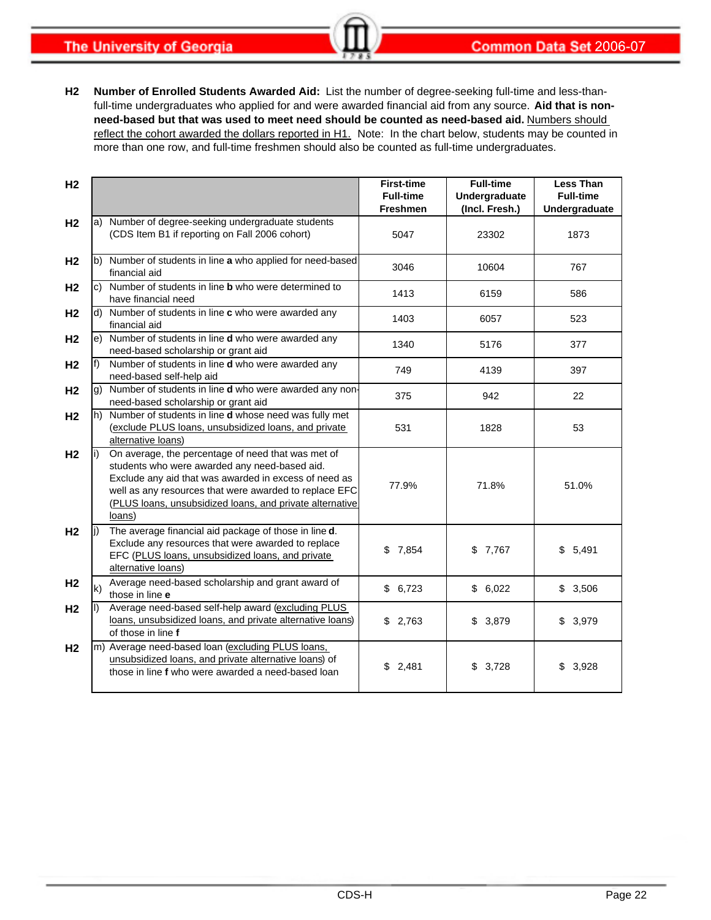**The University of Georgia** 

**H2 Number of Enrolled Students Awarded Aid:** List the number of degree-seeking full-time and less-thanfull-time undergraduates who applied for and were awarded financial aid from any source. **Aid that is nonneed-based but that was used to meet need should be counted as need-based aid.** Numbers should reflect the cohort awarded the dollars reported in H1. Note: In the chart below, students may be counted in more than one row, and full-time freshmen should also be counted as full-time undergraduates.

| H <sub>2</sub> |     |                                                                                                                                                                                                                                                                                              | <b>First-time</b><br><b>Full-time</b><br><b>Freshmen</b> | <b>Full-time</b><br>Undergraduate<br>(Incl. Fresh.) | <b>Less Than</b><br><b>Full-time</b><br>Undergraduate |
|----------------|-----|----------------------------------------------------------------------------------------------------------------------------------------------------------------------------------------------------------------------------------------------------------------------------------------------|----------------------------------------------------------|-----------------------------------------------------|-------------------------------------------------------|
| H <sub>2</sub> |     | a) Number of degree-seeking undergraduate students<br>(CDS Item B1 if reporting on Fall 2006 cohort)                                                                                                                                                                                         | 5047                                                     | 23302                                               | 1873                                                  |
| H <sub>2</sub> |     | b) Number of students in line a who applied for need-based<br>financial aid                                                                                                                                                                                                                  | 3046                                                     | 10604                                               | 767                                                   |
| H <sub>2</sub> |     | c) Number of students in line <b>b</b> who were determined to<br>have financial need                                                                                                                                                                                                         | 1413                                                     | 6159                                                | 586                                                   |
| H <sub>2</sub> |     | d) Number of students in line c who were awarded any<br>financial aid                                                                                                                                                                                                                        | 1403                                                     | 6057                                                | 523                                                   |
| H <sub>2</sub> |     | e) Number of students in line d who were awarded any<br>need-based scholarship or grant aid                                                                                                                                                                                                  | 1340                                                     | 5176                                                | 377                                                   |
| H <sub>2</sub> |     | Number of students in line <b>d</b> who were awarded any<br>need-based self-help aid                                                                                                                                                                                                         | 749                                                      | 4139                                                | 397                                                   |
| H <sub>2</sub> |     | g) Number of students in line d who were awarded any non-<br>need-based scholarship or grant aid                                                                                                                                                                                             | 375                                                      | 942                                                 | 22                                                    |
| H <sub>2</sub> |     | h) Number of students in line d whose need was fully met<br>(exclude PLUS loans, unsubsidized loans, and private<br>alternative loans)                                                                                                                                                       | 531                                                      | 1828                                                | 53                                                    |
| H <sub>2</sub> | li) | On average, the percentage of need that was met of<br>students who were awarded any need-based aid.<br>Exclude any aid that was awarded in excess of need as<br>well as any resources that were awarded to replace EFC<br>(PLUS loans, unsubsidized loans, and private alternative<br>loans) | 77.9%                                                    | 71.8%                                               | 51.0%                                                 |
| H <sub>2</sub> | li) | The average financial aid package of those in line d.<br>Exclude any resources that were awarded to replace<br>EFC (PLUS loans, unsubsidized loans, and private<br>alternative loans)                                                                                                        | \$7,854                                                  | \$7,767                                             | \$5,491                                               |
| H <sub>2</sub> | k)  | Average need-based scholarship and grant award of<br>those in line e                                                                                                                                                                                                                         | \$6,723                                                  | \$6,022                                             | \$3,506                                               |
| H <sub>2</sub> | II) | Average need-based self-help award (excluding PLUS<br>loans, unsubsidized loans, and private alternative loans)<br>of those in line f                                                                                                                                                        | \$2,763                                                  | \$<br>3,879                                         | \$3,979                                               |
| H <sub>2</sub> |     | m) Average need-based loan (excluding PLUS loans,<br>unsubsidized loans, and private alternative loans) of<br>those in line f who were awarded a need-based loan                                                                                                                             | \$2,481                                                  | \$3,728                                             | \$3,928                                               |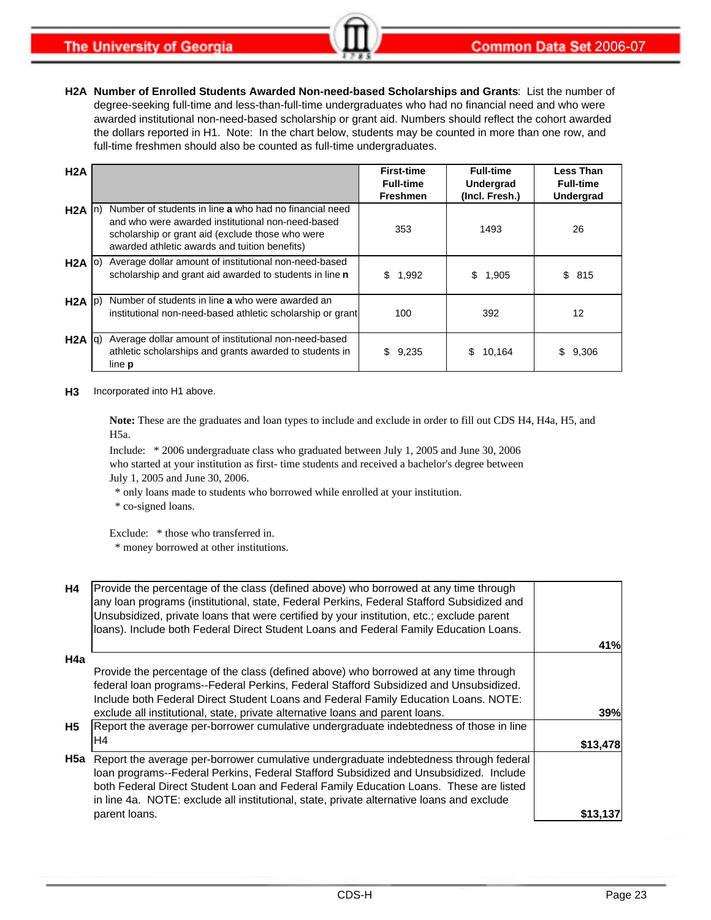**H2A Number of Enrolled Students Awarded Non-need-based Scholarships and Grants**: List the number of degree-seeking full-time and less-than-full-time undergraduates who had no financial need and who were awarded institutional non-need-based scholarship or grant aid. Numbers should reflect the cohort awarded the dollars reported in H1. Note: In the chart below, students may be counted in more than one row, and full-time freshmen should also be counted as full-time undergraduates.

| H2A               |                                                                                                                                                                                                                  | <b>First-time</b><br><b>Full-time</b><br><b>Freshmen</b> | <b>Full-time</b><br>Undergrad<br>(Incl. Fresh.) | <b>Less Than</b><br><b>Full-time</b><br><b>Undergrad</b> |
|-------------------|------------------------------------------------------------------------------------------------------------------------------------------------------------------------------------------------------------------|----------------------------------------------------------|-------------------------------------------------|----------------------------------------------------------|
| $H2A$ $\vert$ n)  | Number of students in line a who had no financial need<br>and who were awarded institutional non-need-based<br>scholarship or grant aid (exclude those who were<br>awarded athletic awards and tuition benefits) | 353                                                      | 1493                                            | 26                                                       |
| $H2A$ (o)         | Average dollar amount of institutional non-need-based<br>scholarship and grant aid awarded to students in line n                                                                                                 | \$<br>1,992                                              | 1,905<br>\$                                     | \$<br>815                                                |
| $H2A$ $ p\rangle$ | Number of students in line a who were awarded an<br>institutional non-need-based athletic scholarship or grant                                                                                                   | 100                                                      | 392                                             | 12                                                       |
| $H2A  q\rangle$   | Average dollar amount of institutional non-need-based<br>athletic scholarships and grants awarded to students in<br>line <b>p</b>                                                                                | \$<br>9,235                                              | 10,164<br>S                                     | 9,306<br>S                                               |

#### **H3** Incorporated into H1 above.

**Note:** These are the graduates and loan types to include and exclude in order to fill out CDS H4, H4a, H5, and H5a.

Include: \* 2006 undergraduate class who graduated between July 1, 2005 and June 30, 2006 who started at your institution as first- time students and received a bachelor's degree between July 1, 2005 and June 30, 2006.

\* only loans made to students who borrowed while enrolled at your institution.

\* co-signed loans.

Exclude: \* those who transferred in.

\* money borrowed at other institutions.

| <b>H4</b>             | Provide the percentage of the class (defined above) who borrowed at any time through<br>any loan programs (institutional, state, Federal Perkins, Federal Stafford Subsidized and<br>Unsubsidized, private loans that were certified by your institution, etc.; exclude parent<br>loans). Include both Federal Direct Student Loans and Federal Family Education Loans.                                                                               |          |
|-----------------------|-------------------------------------------------------------------------------------------------------------------------------------------------------------------------------------------------------------------------------------------------------------------------------------------------------------------------------------------------------------------------------------------------------------------------------------------------------|----------|
|                       |                                                                                                                                                                                                                                                                                                                                                                                                                                                       | 41%      |
| H4a<br>H <sub>5</sub> | Provide the percentage of the class (defined above) who borrowed at any time through<br>federal loan programs--Federal Perkins, Federal Stafford Subsidized and Unsubsidized.<br>Include both Federal Direct Student Loans and Federal Family Education Loans. NOTE:<br>exclude all institutional, state, private alternative loans and parent loans.<br>Report the average per-borrower cumulative undergraduate indebtedness of those in line<br>H4 | 39%      |
|                       |                                                                                                                                                                                                                                                                                                                                                                                                                                                       | \$13,478 |
| H5a                   | Report the average per-borrower cumulative undergraduate indebtedness through federal<br>loan programs--Federal Perkins, Federal Stafford Subsidized and Unsubsidized. Include<br>both Federal Direct Student Loan and Federal Family Education Loans. These are listed<br>in line 4a. NOTE: exclude all institutional, state, private alternative loans and exclude                                                                                  |          |
|                       | parent loans.                                                                                                                                                                                                                                                                                                                                                                                                                                         | \$13,13  |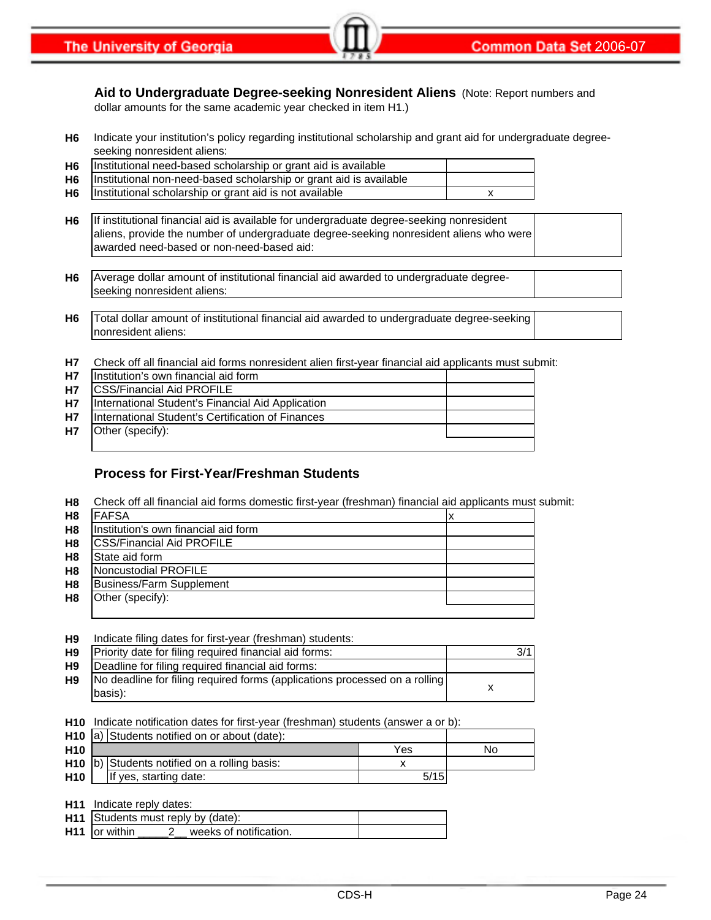**Aid to Undergraduate Degree-seeking Nonresident Aliens** (Note: Report numbers and dollar amounts for the same academic year checked in item H1.)

- **H6** Indicate your institution's policy regarding institutional scholarship and grant aid for undergraduate degreeseeking nonresident aliens:
- **H6 H6 H6** Institutional scholarship or grant aid is not available **EXEC 100 SET A** X Institutional need-based scholarship or grant aid is available Institutional non-need-based scholarship or grant aid is available
- **H6** If institutional financial aid is available for undergraduate degree-seeking nonresident aliens, provide the number of undergraduate degree-seeking nonresident aliens who were awarded need-based or non-need-based aid:
- **H6** Average dollar amount of institutional financial aid awarded to undergraduate degreeseeking nonresident aliens:
- **H6** Total dollar amount of institutional financial aid awarded to undergraduate degree-seeking nonresident aliens:
- **H7** Check off all financial aid forms nonresident alien first-year financial aid applicants must submit:

| H7        | Institution's own financial aid form              |  |
|-----------|---------------------------------------------------|--|
| H7        | <b>CSS/Financial Aid PROFILE</b>                  |  |
| <b>H7</b> | International Student's Financial Aid Application |  |
| H7        | International Student's Certification of Finances |  |
| H7        | Other (specify):                                  |  |
|           |                                                   |  |

#### **Process for First-Year/Freshman Students**

**H8** Check off all financial aid forms domestic first-year (freshman) financial aid applicants must submit:

| H <sub>8</sub> | <b>IFAFSA</b>                        |  |
|----------------|--------------------------------------|--|
| H <sub>8</sub> | Institution's own financial aid form |  |
| H <sub>8</sub> | <b>ICSS/Financial Aid PROFILE</b>    |  |
| H <sub>8</sub> | State aid form                       |  |
| H <sub>8</sub> | Noncustodial PROFILE                 |  |
| H <sub>8</sub> | <b>Business/Farm Supplement</b>      |  |
| H <sub>8</sub> | Other (specify):                     |  |
|                |                                      |  |

**H9** Indicate filing dates for first-year (freshman) students:

| H9 | Priority date for filing required financial aid forms:                                          | 3/1 |
|----|-------------------------------------------------------------------------------------------------|-----|
| H9 | Deadline for filing required financial aid forms:                                               |     |
|    | <b>H9</b> No deadline for filing required forms (applications processed on a rolling<br>basis): |     |

**H10** Indicate notification dates for first-year (freshman) students (answer a or b):

|                 | H <sub>10</sub> a) Students notified on or about (date): |      |    |
|-----------------|----------------------------------------------------------|------|----|
| H <sub>10</sub> |                                                          | Yes  | No |
|                 | H10 b) Students notified on a rolling basis:             |      |    |
| <b>H10</b>      | If yes, starting date:                                   | 5/15 |    |

| <b>H11</b> Indicate reply dates:          |  |
|-------------------------------------------|--|
| H11 Students must reply by (date):        |  |
| $H11$ or within<br>weeks of notification. |  |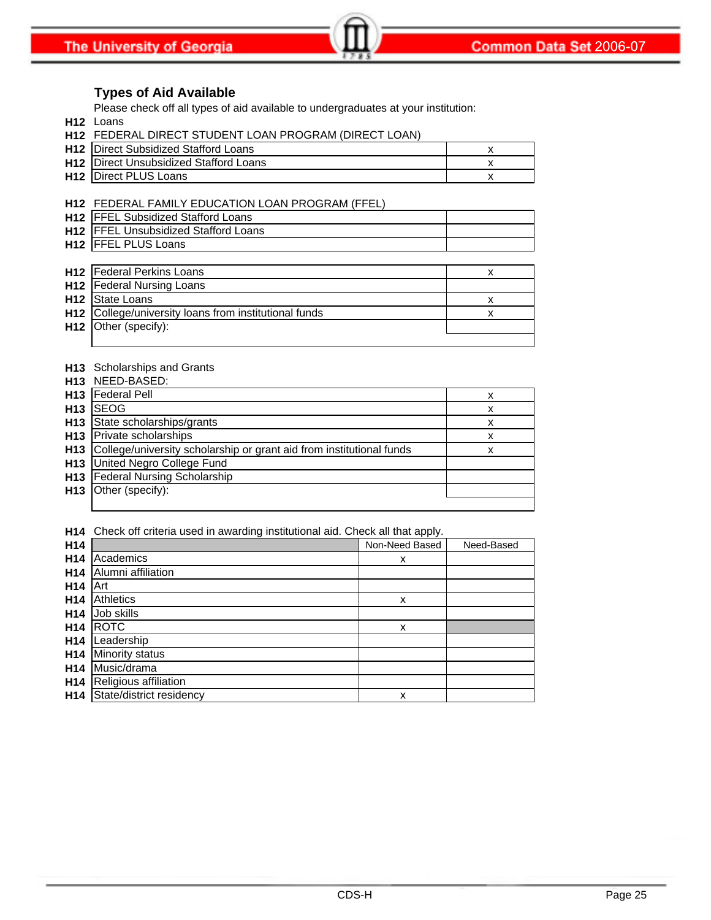#### **Types of Aid Available**

Please check off all types of aid available to undergraduates at your institution:

**H12** Loans

| <b>H12 FEDERAL DIRECT STUDENT LOAN PROGRAM (DIRECT LOAN)</b> |  |
|--------------------------------------------------------------|--|
| <b>H12</b> IDirect Subsidized Stafford Loans                 |  |
| <b>H12</b> I Direct Unsubsidized Stafford Loans              |  |
| <b>H12</b> Direct PLUS Loans                                 |  |
|                                                              |  |

**H12** FEDERAL FAMILY EDUCATION LOAN PROGRAM (FFEL) **H12** FFEL Subsidized Stafford Loans **H12** FFEL Unsubsidized Stafford Loans **H12** FFEL PLUS Loans **H12** x Federal Perkins Loans **H12** Federal Nursing Loans

| <b>H12</b> State Loans                                |  |
|-------------------------------------------------------|--|
| H12 College/university loans from institutional funds |  |
| <b>H12</b> Other (specify):                           |  |
|                                                       |  |

#### **H13** Scholarships and Grants NEED-BASED:

|                 | H <sub>13</sub> NEED-BASED:                                          |   |
|-----------------|----------------------------------------------------------------------|---|
| H <sub>13</sub> | <b>Federal Pell</b>                                                  | x |
| H <sub>13</sub> | <b>SEOG</b>                                                          | x |
| H <sub>13</sub> | State scholarships/grants                                            | x |
|                 | H <sub>13</sub> Private scholarships                                 | x |
| H <sub>13</sub> | College/university scholarship or grant aid from institutional funds | х |
| H <sub>13</sub> | United Negro College Fund                                            |   |
| H <sub>13</sub> | <b>Federal Nursing Scholarship</b>                                   |   |
| H <sub>13</sub> | Other (specify):                                                     |   |
|                 |                                                                      |   |

**H14** Check off criteria used in awarding institutional aid. Check all that apply.

| H <sub>14</sub> |                          | Non-Need Based | Need-Based |
|-----------------|--------------------------|----------------|------------|
| H <sub>14</sub> | Academics                | x              |            |
| H <sub>14</sub> | Alumni affiliation       |                |            |
| H <sub>14</sub> | Art                      |                |            |
| H <sub>14</sub> | Athletics                | x              |            |
| H <sub>14</sub> | Job skills               |                |            |
| H <sub>14</sub> | <b>ROTC</b>              | x              |            |
| H <sub>14</sub> | Leadership               |                |            |
| H <sub>14</sub> | <b>Minority status</b>   |                |            |
| H <sub>14</sub> | Music/drama              |                |            |
| H <sub>14</sub> | Religious affiliation    |                |            |
| H14             | State/district residency | x              |            |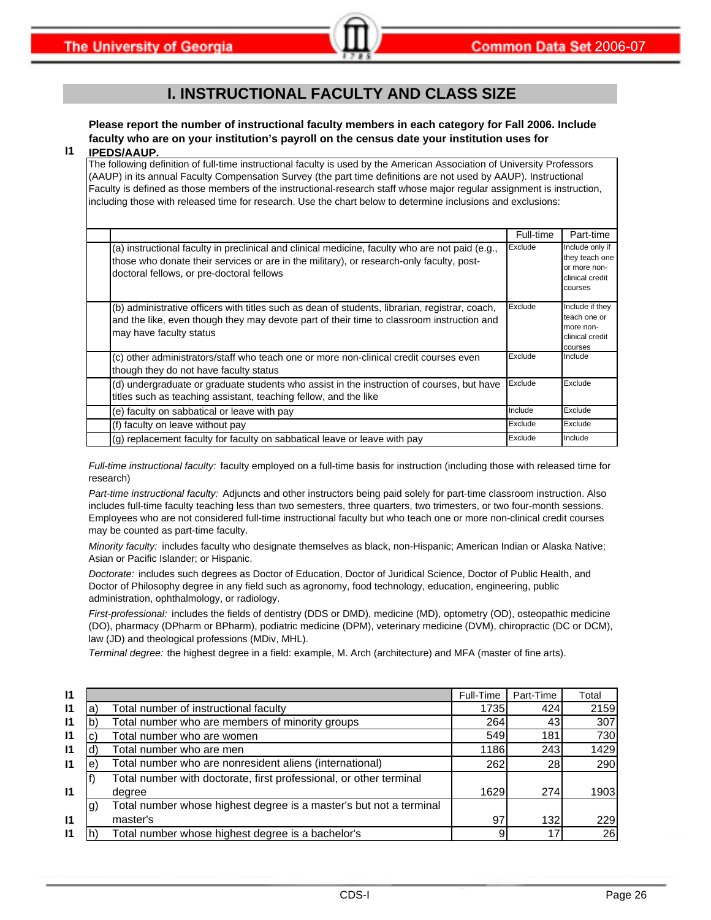### **I. INSTRUCTIONAL FACULTY AND CLASS SIZE**

**Please report the number of instructional faculty members in each category for Fall 2006. Include faculty who are on your institution's payroll on the census date your institution uses for** 

#### **I1 IPEDS/AAUP.**

The following definition of full-time instructional faculty is used by the American Association of University Professors (AAUP) in its annual Faculty Compensation Survey (the part time definitions are not used by AAUP). Instructional Faculty is defined as those members of the instructional-research staff whose major regular assignment is instruction, including those with released time for research. Use the chart below to determine inclusions and exclusions:

|                                                                                                                                                                                                                                          | Full-time | Part-time                                                                       |
|------------------------------------------------------------------------------------------------------------------------------------------------------------------------------------------------------------------------------------------|-----------|---------------------------------------------------------------------------------|
| (a) instructional faculty in preclinical and clinical medicine, faculty who are not paid (e.g.,<br>those who donate their services or are in the military), or research-only faculty, post-<br>doctoral fellows, or pre-doctoral fellows | Exclude   | Include only if<br>they teach one<br>or more non-<br>clinical credit<br>courses |
| (b) administrative officers with titles such as dean of students, librarian, registrar, coach,<br>and the like, even though they may devote part of their time to classroom instruction and<br>may have faculty status                   | Exclude   | Include if they<br>teach one or<br>more non-<br>clinical credit<br>courses      |
| (c) other administrators/staff who teach one or more non-clinical credit courses even<br>though they do not have faculty status                                                                                                          | Exclude   | Include                                                                         |
| (d) undergraduate or graduate students who assist in the instruction of courses, but have<br>titles such as teaching assistant, teaching fellow, and the like                                                                            | Exclude   | Exclude                                                                         |
| (e) faculty on sabbatical or leave with pay                                                                                                                                                                                              | Include   | Exclude                                                                         |
| (f) faculty on leave without pay                                                                                                                                                                                                         | Exclude   | Exclude                                                                         |
| (g) replacement faculty for faculty on sabbatical leave or leave with pay                                                                                                                                                                | Exclude   | Include                                                                         |

*Full-time instructional faculty:* faculty employed on a full-time basis for instruction (including those with released time for research)

*Part-time instructional faculty:* Adjuncts and other instructors being paid solely for part-time classroom instruction. Also includes full-time faculty teaching less than two semesters, three quarters, two trimesters, or two four-month sessions. Employees who are not considered full-time instructional faculty but who teach one or more non-clinical credit courses may be counted as part-time faculty.

*Minority faculty:* includes faculty who designate themselves as black, non-Hispanic; American Indian or Alaska Native; Asian or Pacific Islander; or Hispanic.

*Doctorate:* includes such degrees as Doctor of Education, Doctor of Juridical Science, Doctor of Public Health, and Doctor of Philosophy degree in any field such as agronomy, food technology, education, engineering, public administration, ophthalmology, or radiology.

*First-professional:* includes the fields of dentistry (DDS or DMD), medicine (MD), optometry (OD), osteopathic medicine (DO), pharmacy (DPharm or BPharm), podiatric medicine (DPM), veterinary medicine (DVM), chiropractic (DC or DCM), law (JD) and theological professions (MDiv, MHL).

*Terminal degree:* the highest degree in a field: example, M. Arch (architecture) and MFA (master of fine arts).

| $\mathsf{I}$ |     |                                                                    | Full-Time | Part-Time | Total |
|--------------|-----|--------------------------------------------------------------------|-----------|-----------|-------|
| $\mathsf{I}$ | la  | Total number of instructional faculty                              | 1735      | 424       | 2159  |
| $\mathsf{I}$ |     | Total number who are members of minority groups                    | 264       | 43        | 307   |
| $\mathbf{I}$ |     | Total number who are women                                         | 549       | 181       | 730   |
| $\mathsf{I}$ |     | Total number who are men                                           | 1186      | 243       | 1429  |
| $\mathsf{I}$ | е   | Total number who are nonresident aliens (international)            | 262       | 28        | 290   |
|              |     | Total number with doctorate, first professional, or other terminal |           |           |       |
| $\mathsf{I}$ |     | degree                                                             | 1629      | 274       | 1903  |
|              | lg) | Total number whose highest degree is a master's but not a terminal |           |           |       |
| $\mathsf{I}$ |     | master's                                                           | 97        | 132       | 229   |
| $\mathsf{I}$ |     | Total number whose highest degree is a bachelor's                  |           | 17        | 26    |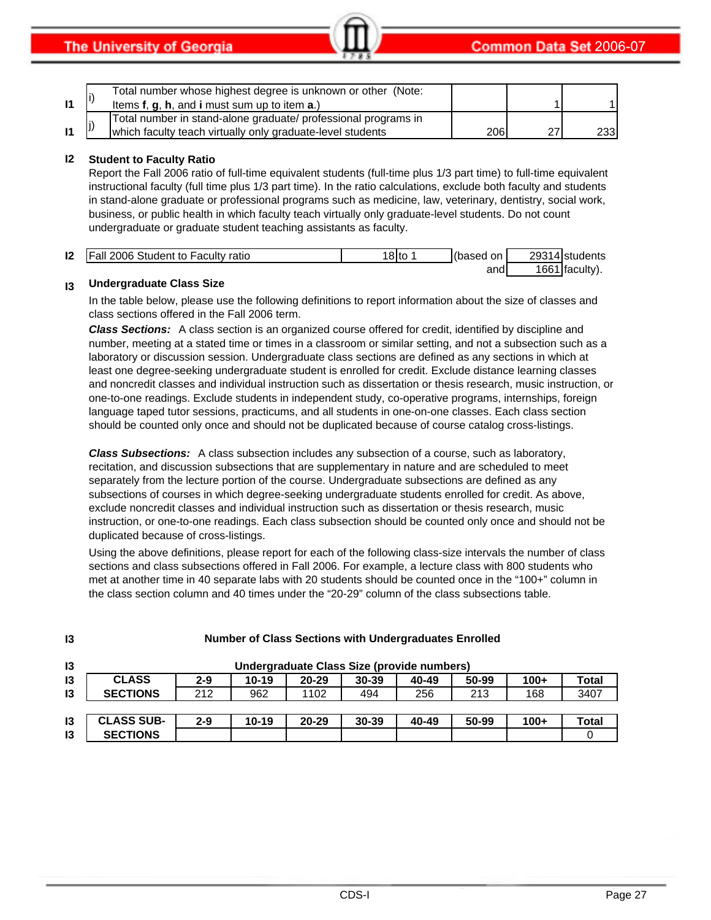|  | Total number whose highest degree is unknown or other (Note:<br>Items $f, g, h$ , and i must sum up to item $a$ .)           |     |    |      |
|--|------------------------------------------------------------------------------------------------------------------------------|-----|----|------|
|  | Total number in stand-alone graduate/ professional programs in<br>which faculty teach virtually only graduate-level students | 206 | 27 | 233I |

#### **I2 Student to Faculty Ratio**

Report the Fall 2006 ratio of full-time equivalent students (full-time plus 1/3 part time) to full-time equivalent instructional faculty (full time plus 1/3 part time). In the ratio calculations, exclude both faculty and students in stand-alone graduate or professional programs such as medicine, law, veterinary, dentistry, social work, business, or public health in which faculty teach virtually only graduate-level students. Do not count undergraduate or graduate student teaching assistants as faculty.

| 12 | <b>Fall 2006 Student to Faculty ratio</b> | 101 <sub>to</sub> | on I<br>based | 2931<br>14Istudents    |
|----|-------------------------------------------|-------------------|---------------|------------------------|
|    |                                           |                   | and           | 1661<br><b>faculty</b> |

#### **I3 Undergraduate Class Size**

In the table below, please use the following definitions to report information about the size of classes and class sections offered in the Fall 2006 term.

*Class Sections:* A class section is an organized course offered for credit, identified by discipline and number, meeting at a stated time or times in a classroom or similar setting, and not a subsection such as a laboratory or discussion session. Undergraduate class sections are defined as any sections in which at least one degree-seeking undergraduate student is enrolled for credit. Exclude distance learning classes and noncredit classes and individual instruction such as dissertation or thesis research, music instruction, or one-to-one readings. Exclude students in independent study, co-operative programs, internships, foreign language taped tutor sessions, practicums, and all students in one-on-one classes. Each class section should be counted only once and should not be duplicated because of course catalog cross-listings.

*Class Subsections:* A class subsection includes any subsection of a course, such as laboratory, recitation, and discussion subsections that are supplementary in nature and are scheduled to meet separately from the lecture portion of the course. Undergraduate subsections are defined as any subsections of courses in which degree-seeking undergraduate students enrolled for credit. As above, exclude noncredit classes and individual instruction such as dissertation or thesis research, music instruction, or one-to-one readings. Each class subsection should be counted only once and should not be duplicated because of cross-listings.

Using the above definitions, please report for each of the following class-size intervals the number of class sections and class subsections offered in Fall 2006. For example, a lecture class with 800 students who met at another time in 40 separate labs with 20 students should be counted once in the "100+" column in the class section column and 40 times under the "20-29" column of the class subsections table.

| 13            | <b>Number of Class Sections with Undergraduates Enrolled</b> |         |           |           |                                            |       |       |        |              |
|---------------|--------------------------------------------------------------|---------|-----------|-----------|--------------------------------------------|-------|-------|--------|--------------|
| 13            |                                                              |         |           |           | Undergraduate Class Size (provide numbers) |       |       |        |              |
| $\mathsf{I}3$ | <b>CLASS</b>                                                 | $2 - 9$ | $10 - 19$ | $20 - 29$ | $30 - 39$                                  | 40-49 | 50-99 | $100+$ | <b>Total</b> |
| 13            | <b>SECTIONS</b>                                              | 212     | 962       | 1102      | 494                                        | 256   | 213   | 168    | 3407         |
|               |                                                              |         |           |           |                                            |       |       |        |              |
| $\mathsf{I}3$ | <b>CLASS SUB-</b>                                            | $2 - 9$ | $10 - 19$ | $20 - 29$ | $30 - 39$                                  | 40-49 | 50-99 | $100+$ | <b>Total</b> |
| 13            | <b>SECTIONS</b>                                              |         |           |           |                                            |       |       |        |              |

### **Number of Class Sections with Undergraduates Enrolled**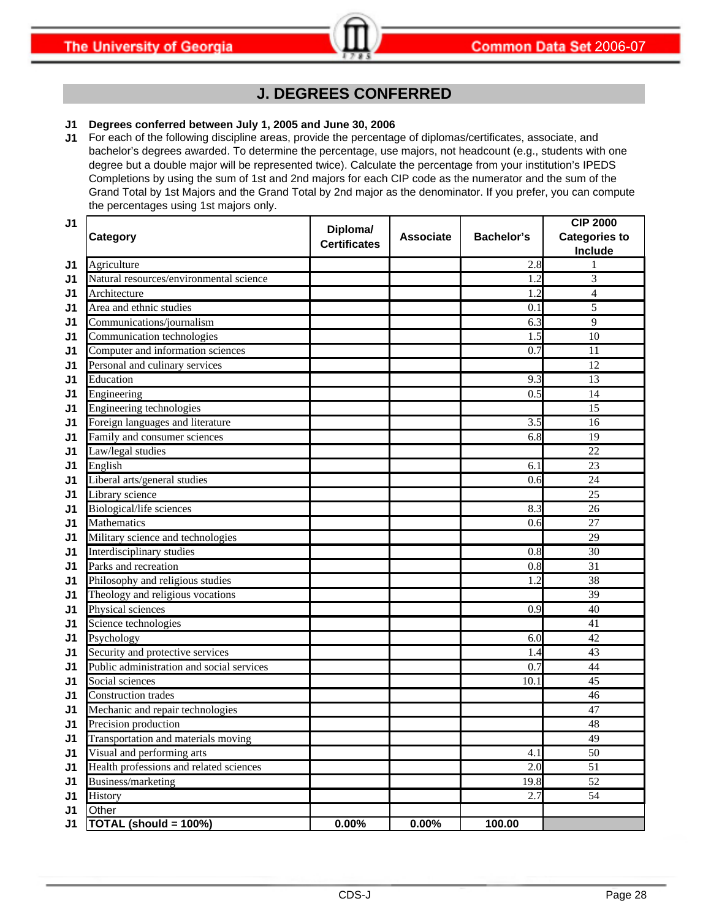### **J. DEGREES CONFERRED**

#### **J1 Degrees conferred between July 1, 2005 and June 30, 2006**

**J1** For each of the following discipline areas, provide the percentage of diplomas/certificates, associate, and bachelor's degrees awarded. To determine the percentage, use majors, not headcount (e.g., students with one degree but a double major will be represented twice). Calculate the percentage from your institution's IPEDS Completions by using the sum of 1st and 2nd majors for each CIP code as the numerator and the sum of the Grand Total by 1st Majors and the Grand Total by 2nd major as the denominator. If you prefer, you can compute the percentages using 1st majors only.

| J <sub>1</sub> |                                           | Diploma/            |                  |                   | <b>CIP 2000</b>      |
|----------------|-------------------------------------------|---------------------|------------------|-------------------|----------------------|
|                | Category                                  | <b>Certificates</b> | <b>Associate</b> | <b>Bachelor's</b> | <b>Categories to</b> |
|                |                                           |                     |                  |                   | Include              |
| J1             | Agriculture                               |                     |                  | 2.8               |                      |
| J1             | Natural resources/environmental science   |                     |                  | 1.2               | 3                    |
| J1             | Architecture                              |                     |                  | 1.2               | $\overline{4}$       |
| J1             | Area and ethnic studies                   |                     |                  | 0.1               | 5                    |
| J1             | Communications/journalism                 |                     |                  | 6.3               | 9                    |
| J1             | Communication technologies                |                     |                  | 1.5               | 10                   |
| J1             | Computer and information sciences         |                     |                  | 0.7               | 11                   |
| J1             | Personal and culinary services            |                     |                  |                   | 12                   |
| J1             | Education                                 |                     |                  | 9.3               | 13                   |
| J1             | Engineering                               |                     |                  | 0.5               | 14                   |
| J1             | Engineering technologies                  |                     |                  |                   | 15                   |
| J1             | Foreign languages and literature          |                     |                  | 3.5               | 16                   |
| J1             | Family and consumer sciences              |                     |                  | 6.8               | 19                   |
| J1             | Law/legal studies                         |                     |                  |                   | 22                   |
| J1             | English                                   |                     |                  | 6.1               | 23                   |
| J1             | Liberal arts/general studies              |                     |                  | 0.6               | 24                   |
| J1             | Library science                           |                     |                  |                   | 25                   |
| J1             | Biological/life sciences                  |                     |                  | 8.3               | 26                   |
| J1             | <b>Mathematics</b>                        |                     |                  | 0.6               | 27                   |
| J1             | Military science and technologies         |                     |                  |                   | 29                   |
| J1             | Interdisciplinary studies                 |                     |                  | 0.8               | 30                   |
| J1             | Parks and recreation                      |                     |                  | 0.8               | 31                   |
| J1             | Philosophy and religious studies          |                     |                  | 1.2               | 38                   |
| J1             | Theology and religious vocations          |                     |                  |                   | 39                   |
| J1             | Physical sciences                         |                     |                  | 0.9               | 40                   |
| J1             | Science technologies                      |                     |                  |                   | 41                   |
| J1             | Psychology                                |                     |                  | 6.0               | 42                   |
| J1             | Security and protective services          |                     |                  | 1.4               | 43                   |
| J1             | Public administration and social services |                     |                  | 0.7               | 44                   |
| J1             | Social sciences                           |                     |                  | 10.1              | 45                   |
| J1             | <b>Construction trades</b>                |                     |                  |                   | 46                   |
| J1             | Mechanic and repair technologies          |                     |                  |                   | 47                   |
| J1             | Precision production                      |                     |                  |                   | 48                   |
| J <sub>1</sub> | Transportation and materials moving       |                     |                  |                   | 49                   |
| J1             | Visual and performing arts                |                     |                  | 4.1               | 50                   |
| J1             | Health professions and related sciences   |                     |                  | 2.0               | 51                   |
| J1             | Business/marketing                        |                     |                  | 19.8              | 52                   |
| J1             | History                                   |                     |                  | 2.7               | 54                   |
| J1             | Other                                     |                     |                  |                   |                      |
| J1             | <b>TOTAL (should = 100%)</b>              | 0.00%               | $0.00\%$         | 100.00            |                      |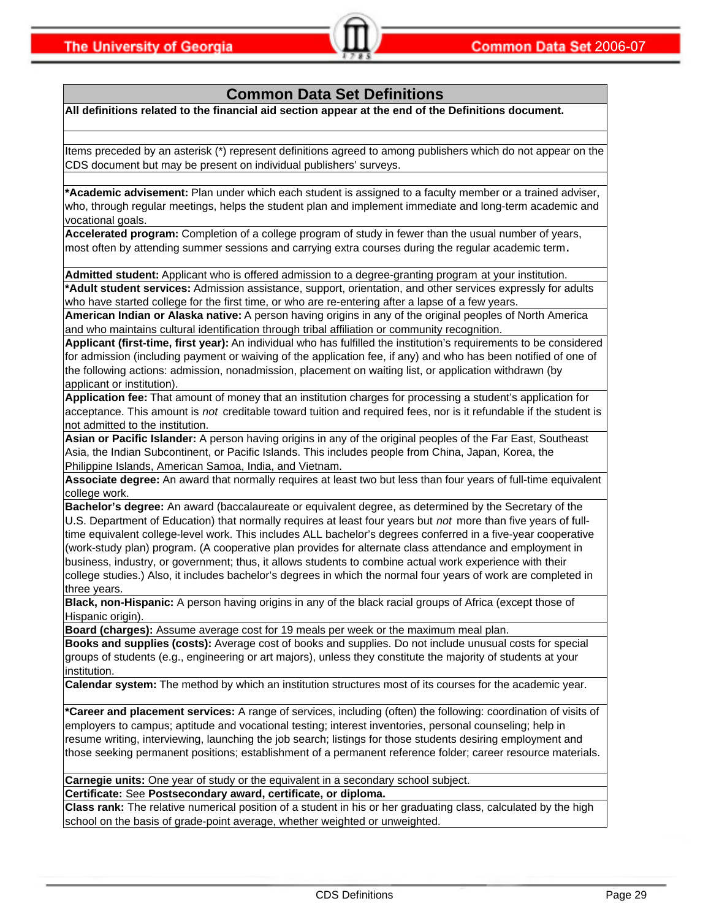# **Common Data Set Definitions**

**All definitions related to the financial aid section appear at the end of the Definitions document.**

Items preceded by an asterisk (\*) represent definitions agreed to among publishers which do not appear on the CDS document but may be present on individual publishers' surveys.

**\*Academic advisement:** Plan under which each student is assigned to a faculty member or a trained adviser, who, through regular meetings, helps the student plan and implement immediate and long-term academic and vocational goals.

**Accelerated program:** Completion of a college program of study in fewer than the usual number of years, most often by attending summer sessions and carrying extra courses during the regular academic term**.**

**Admitted student:** Applicant who is offered admission to a degree-granting program at your institution. **\*Adult student services:** Admission assistance, support, orientation, and other services expressly for adults who have started college for the first time, or who are re-entering after a lapse of a few years.

**American Indian or Alaska native:** A person having origins in any of the original peoples of North America and who maintains cultural identification through tribal affiliation or community recognition.

**Applicant (first-time, first year):** An individual who has fulfilled the institution's requirements to be considered for admission (including payment or waiving of the application fee, if any) and who has been notified of one of the following actions: admission, nonadmission, placement on waiting list, or application withdrawn (by applicant or institution).

**Application fee:** That amount of money that an institution charges for processing a student's application for acceptance. This amount is *not* creditable toward tuition and required fees, nor is it refundable if the student is not admitted to the institution.

**Asian or Pacific Islander:** A person having origins in any of the original peoples of the Far East, Southeast Asia, the Indian Subcontinent, or Pacific Islands. This includes people from China, Japan, Korea, the Philippine Islands, American Samoa, India, and Vietnam.

**Associate degree:** An award that normally requires at least two but less than four years of full-time equivalent college work.

**Bachelor's degree:** An award (baccalaureate or equivalent degree, as determined by the Secretary of the U.S. Department of Education) that normally requires at least four years but *not* more than five years of fulltime equivalent college-level work. This includes ALL bachelor's degrees conferred in a five-year cooperative (work-study plan) program. (A cooperative plan provides for alternate class attendance and employment in business, industry, or government; thus, it allows students to combine actual work experience with their college studies.) Also, it includes bachelor's degrees in which the normal four years of work are completed in three years.

**Black, non-Hispanic:** A person having origins in any of the black racial groups of Africa (except those of Hispanic origin).

**Board (charges):** Assume average cost for 19 meals per week or the maximum meal plan.

**Books and supplies (costs):** Average cost of books and supplies. Do not include unusual costs for special groups of students (e.g., engineering or art majors), unless they constitute the majority of students at your institution.

**Calendar system:** The method by which an institution structures most of its courses for the academic year.

**\*Career and placement services:** A range of services, including (often) the following: coordination of visits of employers to campus; aptitude and vocational testing; interest inventories, personal counseling; help in resume writing, interviewing, launching the job search; listings for those students desiring employment and those seeking permanent positions; establishment of a permanent reference folder; career resource materials.

**Carnegie units:** One year of study or the equivalent in a secondary school subject.

**Certificate:** See **Postsecondary award, certificate, or diploma.**

**Class rank:** The relative numerical position of a student in his or her graduating class, calculated by the high school on the basis of grade-point average, whether weighted or unweighted.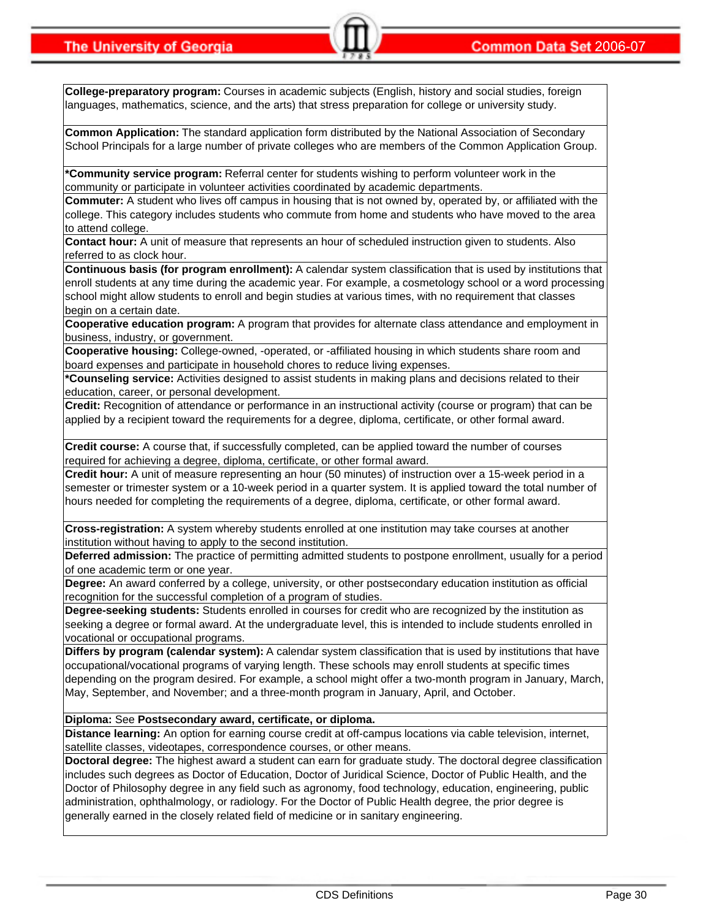**College-preparatory program:** Courses in academic subjects (English, history and social studies, foreign languages, mathematics, science, and the arts) that stress preparation for college or university study.

**Common Application:** The standard application form distributed by the National Association of Secondary School Principals for a large number of private colleges who are members of the Common Application Group.

**\*Community service program:** Referral center for students wishing to perform volunteer work in the community or participate in volunteer activities coordinated by academic departments.

**Commuter:** A student who lives off campus in housing that is not owned by, operated by, or affiliated with the college. This category includes students who commute from home and students who have moved to the area to attend college.

**Contact hour:** A unit of measure that represents an hour of scheduled instruction given to students. Also referred to as clock hour.

**Continuous basis (for program enrollment):** A calendar system classification that is used by institutions that enroll students at any time during the academic year. For example, a cosmetology school or a word processing school might allow students to enroll and begin studies at various times, with no requirement that classes begin on a certain date.

**Cooperative education program:** A program that provides for alternate class attendance and employment in business, industry, or government.

**Cooperative housing:** College-owned, -operated, or -affiliated housing in which students share room and board expenses and participate in household chores to reduce living expenses.

**\*Counseling service:** Activities designed to assist students in making plans and decisions related to their education, career, or personal development.

**Credit:** Recognition of attendance or performance in an instructional activity (course or program) that can be applied by a recipient toward the requirements for a degree, diploma, certificate, or other formal award.

**Credit course:** A course that, if successfully completed, can be applied toward the number of courses required for achieving a degree, diploma, certificate, or other formal award.

**Credit hour:** A unit of measure representing an hour (50 minutes) of instruction over a 15-week period in a semester or trimester system or a 10-week period in a quarter system. It is applied toward the total number of hours needed for completing the requirements of a degree, diploma, certificate, or other formal award.

**Cross-registration:** A system whereby students enrolled at one institution may take courses at another institution without having to apply to the second institution.

**Deferred admission:** The practice of permitting admitted students to postpone enrollment, usually for a period of one academic term or one year.

**Degree:** An award conferred by a college, university, or other postsecondary education institution as official recognition for the successful completion of a program of studies.

**Degree-seeking students:** Students enrolled in courses for credit who are recognized by the institution as seeking a degree or formal award. At the undergraduate level, this is intended to include students enrolled in vocational or occupational programs.

**Differs by program (calendar system):** A calendar system classification that is used by institutions that have occupational/vocational programs of varying length. These schools may enroll students at specific times depending on the program desired. For example, a school might offer a two-month program in January, March, May, September, and November; and a three-month program in January, April, and October.

**Diploma:** See **Postsecondary award, certificate, or diploma.**

**Distance learning:** An option for earning course credit at off-campus locations via cable television, internet, satellite classes, videotapes, correspondence courses, or other means.

**Doctoral degree:** The highest award a student can earn for graduate study. The doctoral degree classification includes such degrees as Doctor of Education, Doctor of Juridical Science, Doctor of Public Health, and the Doctor of Philosophy degree in any field such as agronomy, food technology, education, engineering, public administration, ophthalmology, or radiology. For the Doctor of Public Health degree, the prior degree is generally earned in the closely related field of medicine or in sanitary engineering.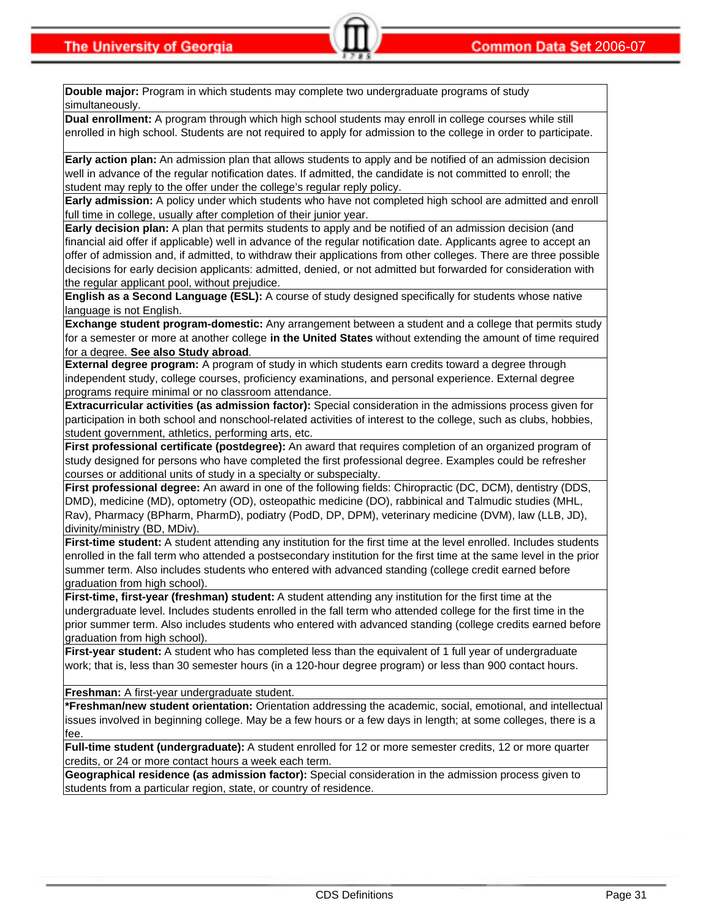**Double major:** Program in which students may complete two undergraduate programs of study simultaneously.

**Dual enrollment:** A program through which high school students may enroll in college courses while still enrolled in high school. Students are not required to apply for admission to the college in order to participate.

**Early action plan:** An admission plan that allows students to apply and be notified of an admission decision well in advance of the regular notification dates. If admitted, the candidate is not committed to enroll; the student may reply to the offer under the college's regular reply policy.

**Early admission:** A policy under which students who have not completed high school are admitted and enroll full time in college, usually after completion of their junior year.

**Early decision plan:** A plan that permits students to apply and be notified of an admission decision (and financial aid offer if applicable) well in advance of the regular notification date. Applicants agree to accept an offer of admission and, if admitted, to withdraw their applications from other colleges. There are three possible decisions for early decision applicants: admitted, denied, or not admitted but forwarded for consideration with the regular applicant pool, without prejudice.

**English as a Second Language (ESL):** A course of study designed specifically for students whose native language is not English.

**Exchange student program-domestic:** Any arrangement between a student and a college that permits study for a semester or more at another college **in the United States** without extending the amount of time required for a degree. **See also Study abroad**.

**External degree program:** A program of study in which students earn credits toward a degree through independent study, college courses, proficiency examinations, and personal experience. External degree programs require minimal or no classroom attendance.

**Extracurricular activities (as admission factor):** Special consideration in the admissions process given for participation in both school and nonschool-related activities of interest to the college, such as clubs, hobbies, student government, athletics, performing arts, etc.

**First professional certificate (postdegree):** An award that requires completion of an organized program of study designed for persons who have completed the first professional degree. Examples could be refresher courses or additional units of study in a specialty or subspecialty.

**First professional degree:** An award in one of the following fields: Chiropractic (DC, DCM), dentistry (DDS, DMD), medicine (MD), optometry (OD), osteopathic medicine (DO), rabbinical and Talmudic studies (MHL, Rav), Pharmacy (BPharm, PharmD), podiatry (PodD, DP, DPM), veterinary medicine (DVM), law (LLB, JD), divinity/ministry (BD, MDiv).

**First-time student:** A student attending any institution for the first time at the level enrolled. Includes students enrolled in the fall term who attended a postsecondary institution for the first time at the same level in the prior summer term. Also includes students who entered with advanced standing (college credit earned before graduation from high school).

**First-time, first-year (freshman) student:** A student attending any institution for the first time at the undergraduate level. Includes students enrolled in the fall term who attended college for the first time in the prior summer term. Also includes students who entered with advanced standing (college credits earned before graduation from high school).

First-year student: A student who has completed less than the equivalent of 1 full year of undergraduate work; that is, less than 30 semester hours (in a 120-hour degree program) or less than 900 contact hours.

**Freshman:** A first-year undergraduate student.

**\*Freshman/new student orientation:** Orientation addressing the academic, social, emotional, and intellectual issues involved in beginning college. May be a few hours or a few days in length; at some colleges, there is a fee.

**Full-time student (undergraduate):** A student enrolled for 12 or more semester credits, 12 or more quarter credits, or 24 or more contact hours a week each term.

**Geographical residence (as admission factor):** Special consideration in the admission process given to students from a particular region, state, or country of residence.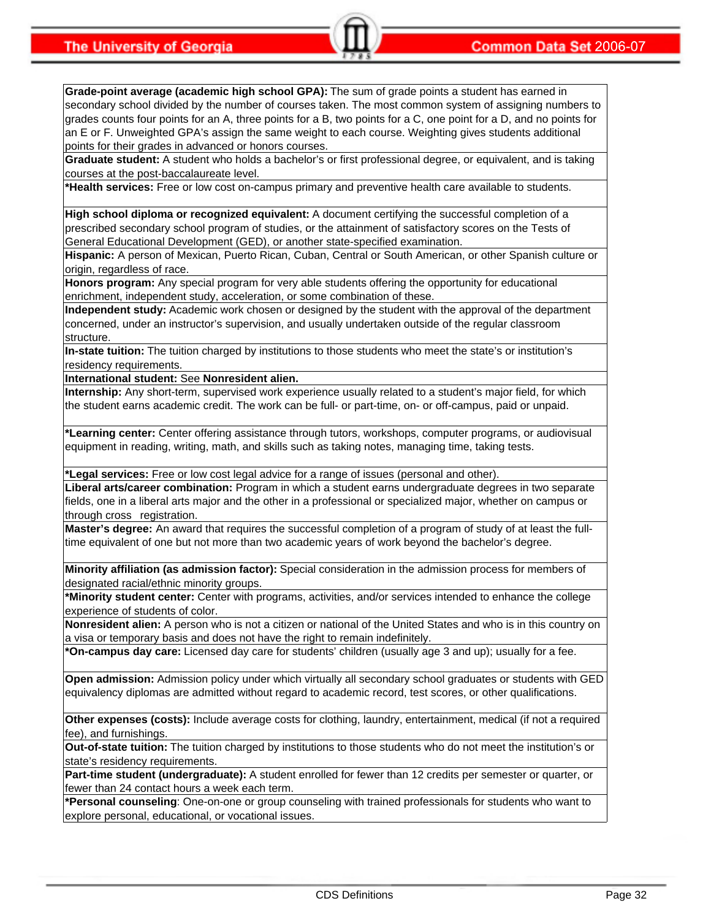**Grade-point average (academic high school GPA):** The sum of grade points a student has earned in secondary school divided by the number of courses taken. The most common system of assigning numbers to grades counts four points for an A, three points for a B, two points for a C, one point for a D, and no points for an E or F. Unweighted GPA's assign the same weight to each course. Weighting gives students additional points for their grades in advanced or honors courses.

**Graduate student:** A student who holds a bachelor's or first professional degree, or equivalent, and is taking courses at the post-baccalaureate level.

**\*Health services:** Free or low cost on-campus primary and preventive health care available to students.

**High school diploma or recognized equivalent:** A document certifying the successful completion of a prescribed secondary school program of studies, or the attainment of satisfactory scores on the Tests of General Educational Development (GED), or another state-specified examination.

**Hispanic:** A person of Mexican, Puerto Rican, Cuban, Central or South American, or other Spanish culture or origin, regardless of race.

**Honors program:** Any special program for very able students offering the opportunity for educational enrichment, independent study, acceleration, or some combination of these.

**Independent study:** Academic work chosen or designed by the student with the approval of the department concerned, under an instructor's supervision, and usually undertaken outside of the regular classroom structure.

**In-state tuition:** The tuition charged by institutions to those students who meet the state's or institution's residency requirements.

**International student:** See **Nonresident alien.**

**Internship:** Any short-term, supervised work experience usually related to a student's major field, for which the student earns academic credit. The work can be full- or part-time, on- or off-campus, paid or unpaid.

**\*Learning center:** Center offering assistance through tutors, workshops, computer programs, or audiovisual equipment in reading, writing, math, and skills such as taking notes, managing time, taking tests.

**\*Legal services:** Free or low cost legal advice for a range of issues (personal and other).

**Liberal arts/career combination:** Program in which a student earns undergraduate degrees in two separate fields, one in a liberal arts major and the other in a professional or specialized major, whether on campus or through cross registration.

**Master's degree:** An award that requires the successful completion of a program of study of at least the fulltime equivalent of one but not more than two academic years of work beyond the bachelor's degree.

**Minority affiliation (as admission factor):** Special consideration in the admission process for members of designated racial/ethnic minority groups.

**\*Minority student center:** Center with programs, activities, and/or services intended to enhance the college experience of students of color.

**Nonresident alien:** A person who is not a citizen or national of the United States and who is in this country on a visa or temporary basis and does not have the right to remain indefinitely.

**\*On-campus day care:** Licensed day care for students' children (usually age 3 and up); usually for a fee.

**Open admission:** Admission policy under which virtually all secondary school graduates or students with GED equivalency diplomas are admitted without regard to academic record, test scores, or other qualifications.

**Other expenses (costs):** Include average costs for clothing, laundry, entertainment, medical (if not a required fee), and furnishings.

**Out-of-state tuition:** The tuition charged by institutions to those students who do not meet the institution's or state's residency requirements.

**Part-time student (undergraduate):** A student enrolled for fewer than 12 credits per semester or quarter, or fewer than 24 contact hours a week each term.

**\*Personal counseling**: One-on-one or group counseling with trained professionals for students who want to explore personal, educational, or vocational issues.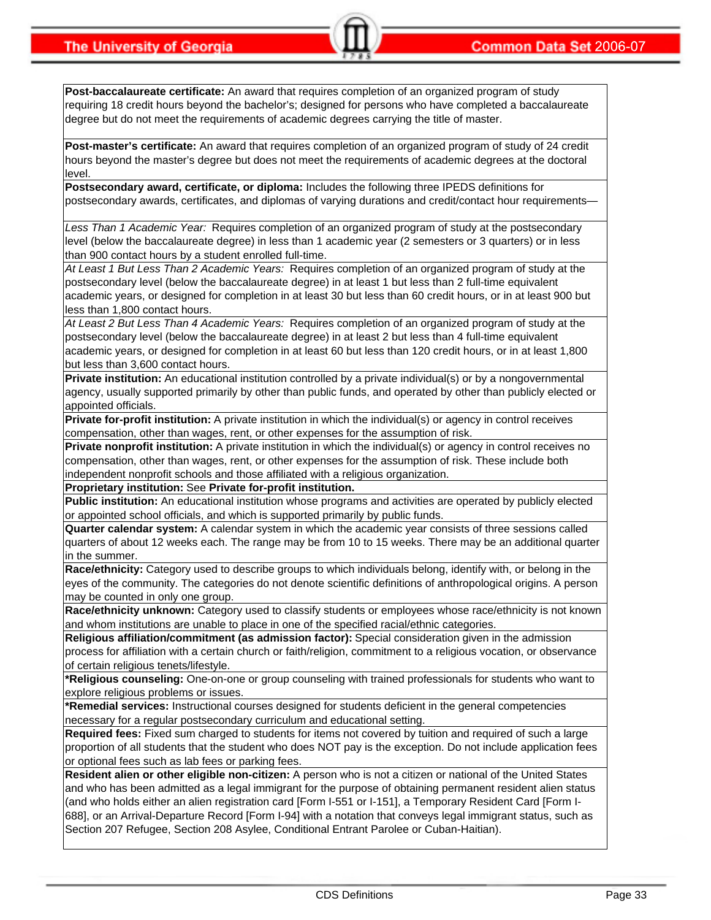**Post-baccalaureate certificate:** An award that requires completion of an organized program of study requiring 18 credit hours beyond the bachelor's; designed for persons who have completed a baccalaureate degree but do not meet the requirements of academic degrees carrying the title of master.

**Post-master's certificate:** An award that requires completion of an organized program of study of 24 credit hours beyond the master's degree but does not meet the requirements of academic degrees at the doctoral level.

**Postsecondary award, certificate, or diploma:** Includes the following three IPEDS definitions for postsecondary awards, certificates, and diplomas of varying durations and credit/contact hour requirements—

*Less Than 1 Academic Year:* Requires completion of an organized program of study at the postsecondary level (below the baccalaureate degree) in less than 1 academic year (2 semesters or 3 quarters) or in less than 900 contact hours by a student enrolled full-time.

*At Least 1 But Less Than 2 Academic Years:* Requires completion of an organized program of study at the postsecondary level (below the baccalaureate degree) in at least 1 but less than 2 full-time equivalent academic years, or designed for completion in at least 30 but less than 60 credit hours, or in at least 900 but less than 1,800 contact hours.

*At Least 2 But Less Than 4 Academic Years:* Requires completion of an organized program of study at the postsecondary level (below the baccalaureate degree) in at least 2 but less than 4 full-time equivalent academic years, or designed for completion in at least 60 but less than 120 credit hours, or in at least 1,800 but less than 3,600 contact hours.

**Private institution:** An educational institution controlled by a private individual(s) or by a nongovernmental agency, usually supported primarily by other than public funds, and operated by other than publicly elected or appointed officials.

**Private for-profit institution:** A private institution in which the individual(s) or agency in control receives compensation, other than wages, rent, or other expenses for the assumption of risk.

**Private nonprofit institution:** A private institution in which the individual(s) or agency in control receives no compensation, other than wages, rent, or other expenses for the assumption of risk. These include both independent nonprofit schools and those affiliated with a religious organization.

**Proprietary institution:** See **Private for-profit institution.**

**Public institution:** An educational institution whose programs and activities are operated by publicly elected or appointed school officials, and which is supported primarily by public funds.

**Quarter calendar system:** A calendar system in which the academic year consists of three sessions called quarters of about 12 weeks each. The range may be from 10 to 15 weeks. There may be an additional quarter in the summer.

**Race/ethnicity:** Category used to describe groups to which individuals belong, identify with, or belong in the eyes of the community. The categories do not denote scientific definitions of anthropological origins. A person may be counted in only one group.

**Race/ethnicity unknown:** Category used to classify students or employees whose race/ethnicity is not known and whom institutions are unable to place in one of the specified racial/ethnic categories.

**Religious affiliation/commitment (as admission factor):** Special consideration given in the admission process for affiliation with a certain church or faith/religion, commitment to a religious vocation, or observance of certain religious tenets/lifestyle.

**\*Religious counseling:** One-on-one or group counseling with trained professionals for students who want to explore religious problems or issues.

**\*Remedial services:** Instructional courses designed for students deficient in the general competencies necessary for a regular postsecondary curriculum and educational setting.

**Required fees:** Fixed sum charged to students for items not covered by tuition and required of such a large proportion of all students that the student who does NOT pay is the exception. Do not include application fees or optional fees such as lab fees or parking fees.

**Resident alien or other eligible non-citizen:** A person who is not a citizen or national of the United States and who has been admitted as a legal immigrant for the purpose of obtaining permanent resident alien status (and who holds either an alien registration card [Form I-551 or I-151], a Temporary Resident Card [Form I-688], or an Arrival-Departure Record [Form I-94] with a notation that conveys legal immigrant status, such as Section 207 Refugee, Section 208 Asylee, Conditional Entrant Parolee or Cuban-Haitian).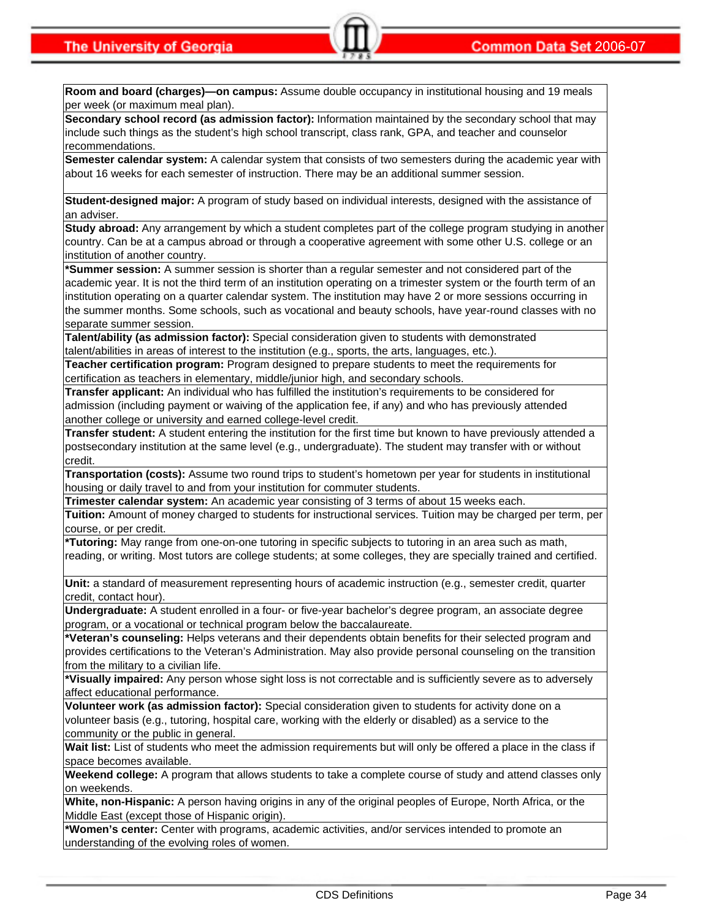**Room and board (charges)—on campus:** Assume double occupancy in institutional housing and 19 meals per week (or maximum meal plan).

**Secondary school record (as admission factor):** Information maintained by the secondary school that may include such things as the student's high school transcript, class rank, GPA, and teacher and counselor recommendations.

**Semester calendar system:** A calendar system that consists of two semesters during the academic year with about 16 weeks for each semester of instruction. There may be an additional summer session.

**Student-designed major:** A program of study based on individual interests, designed with the assistance of an adviser.

**Study abroad:** Any arrangement by which a student completes part of the college program studying in another country. Can be at a campus abroad or through a cooperative agreement with some other U.S. college or an institution of another country.

**\*Summer session:** A summer session is shorter than a regular semester and not considered part of the academic year. It is not the third term of an institution operating on a trimester system or the fourth term of an institution operating on a quarter calendar system. The institution may have 2 or more sessions occurring in the summer months. Some schools, such as vocational and beauty schools, have year-round classes with no separate summer session.

**Talent/ability (as admission factor):** Special consideration given to students with demonstrated talent/abilities in areas of interest to the institution (e.g., sports, the arts, languages, etc.).

**Teacher certification program:** Program designed to prepare students to meet the requirements for certification as teachers in elementary, middle/junior high, and secondary schools.

**Transfer applicant:** An individual who has fulfilled the institution's requirements to be considered for admission (including payment or waiving of the application fee, if any) and who has previously attended another college or university and earned college-level credit.

**Transfer student:** A student entering the institution for the first time but known to have previously attended a postsecondary institution at the same level (e.g., undergraduate). The student may transfer with or without credit.

**Transportation (costs):** Assume two round trips to student's hometown per year for students in institutional housing or daily travel to and from your institution for commuter students.

**Trimester calendar system:** An academic year consisting of 3 terms of about 15 weeks each.

**Tuition:** Amount of money charged to students for instructional services. Tuition may be charged per term, per course, or per credit.

**\*Tutoring:** May range from one-on-one tutoring in specific subjects to tutoring in an area such as math, reading, or writing. Most tutors are college students; at some colleges, they are specially trained and certified.

**Unit:** a standard of measurement representing hours of academic instruction (e.g., semester credit, quarter credit, contact hour).

**Undergraduate:** A student enrolled in a four- or five-year bachelor's degree program, an associate degree program, or a vocational or technical program below the baccalaureate.

**\*Veteran's counseling:** Helps veterans and their dependents obtain benefits for their selected program and provides certifications to the Veteran's Administration. May also provide personal counseling on the transition from the military to a civilian life.

**\*Visually impaired:** Any person whose sight loss is not correctable and is sufficiently severe as to adversely affect educational performance.

**Volunteer work (as admission factor):** Special consideration given to students for activity done on a volunteer basis (e.g., tutoring, hospital care, working with the elderly or disabled) as a service to the community or the public in general.

**Wait list:** List of students who meet the admission requirements but will only be offered a place in the class if space becomes available.

**Weekend college:** A program that allows students to take a complete course of study and attend classes only on weekends.

**White, non-Hispanic:** A person having origins in any of the original peoples of Europe, North Africa, or the Middle East (except those of Hispanic origin).

**\*Women's center:** Center with programs, academic activities, and/or services intended to promote an understanding of the evolving roles of women.